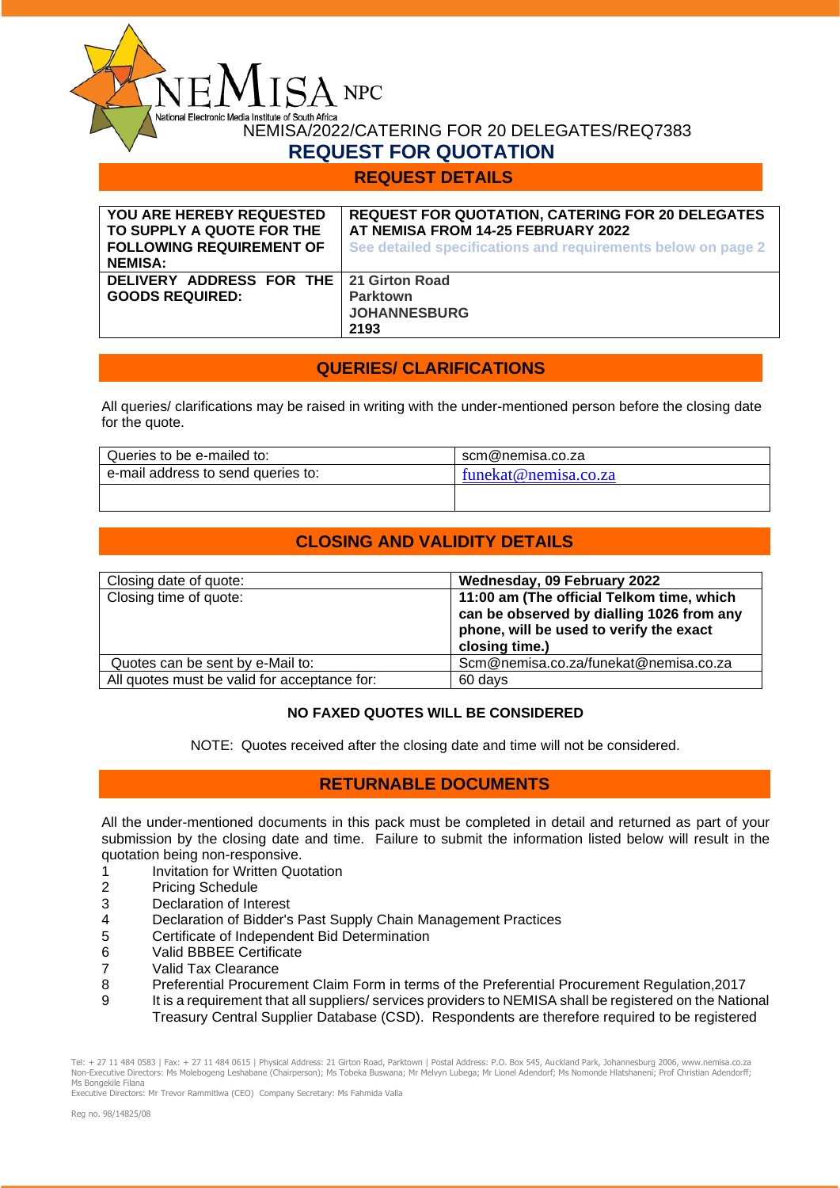NEMISA/2022/CATERING FOR 20 DELEGATES/REQ7383

# **REQUEST FOR QUOTATION**

 $\Delta$  NPC

dia Institute of South Africa

### **REQUEST DETAILS**

| <b>YOU ARE HEREBY REQUESTED</b><br>TO SUPPLY A QUOTE FOR THE<br><b>FOLLOWING REQUIREMENT OF</b><br><b>NEMISA:</b> | <b>REQUEST FOR QUOTATION, CATERING FOR 20 DELEGATES</b><br>AT NEMISA FROM 14-25 FEBRUARY 2022<br>See detailed specifications and requirements below on page 2 |
|-------------------------------------------------------------------------------------------------------------------|---------------------------------------------------------------------------------------------------------------------------------------------------------------|
| DELIVERY ADDRESS FOR THE   21 Girton Road<br><b>GOODS REQUIRED:</b>                                               | <b>Parktown</b><br><b>JOHANNESBURG</b><br>2193                                                                                                                |

# **QUERIES/ CLARIFICATIONS**

All queries/ clarifications may be raised in writing with the under-mentioned person before the closing date for the quote.

| Queries to be e-mailed to:         | scm@nemisa.co.za     |
|------------------------------------|----------------------|
| e-mail address to send queries to: | funekat@nemisa.co.za |
|                                    |                      |

# **CLOSING AND VALIDITY DETAILS**

| Closing date of quote:                       | Wednesday, 09 February 2022                                                                                                                         |
|----------------------------------------------|-----------------------------------------------------------------------------------------------------------------------------------------------------|
| Closing time of quote:                       | 11:00 am (The official Telkom time, which<br>can be observed by dialling 1026 from any<br>phone, will be used to verify the exact<br>closing time.) |
| Quotes can be sent by e-Mail to:             | Scm@nemisa.co.za/funekat@nemisa.co.za                                                                                                               |
| All quotes must be valid for acceptance for: | 60 days                                                                                                                                             |

### **NO FAXED QUOTES WILL BE CONSIDERED**

NOTE: Quotes received after the closing date and time will not be considered.

# **RETURNABLE DOCUMENTS**

All the under-mentioned documents in this pack must be completed in detail and returned as part of your submission by the closing date and time. Failure to submit the information listed below will result in the quotation being non-responsive.

- 1 Invitation for Written Quotation
- 2 Pricing Schedule
- 3 Declaration of Interest
- 4 Declaration of Bidder's Past Supply Chain Management Practices
- 5 Certificate of Independent Bid Determination
- 6 Valid BBBEE Certificate
- 7 Valid Tax Clearance
- 8 Preferential Procurement Claim Form in terms of the Preferential Procurement Regulation,2017
- 9 It is a requirement that all suppliers/ services providers to NEMISA shall be registered on the National Treasury Central Supplier Database (CSD). Respondents are therefore required to be registered

Tel: + 27 11 484 0583 | Fax: + 27 11 484 0615 | Physical Address: 21 Girton Road, Parktown | Postal Address: P.O. Box 545, Auckland Park, Johannesburg 2006, www.nemisa.co.za<br>Non-Executive Directors: Ms Molebogeng Leshabane Ms Bongekile Filana

Executive Directors: Mr Trevor Rammitlwa (CEO) Company Secretary: Ms Fahmida Valla

 $\tilde{\mathcal{L}}$ 

National Flectronic M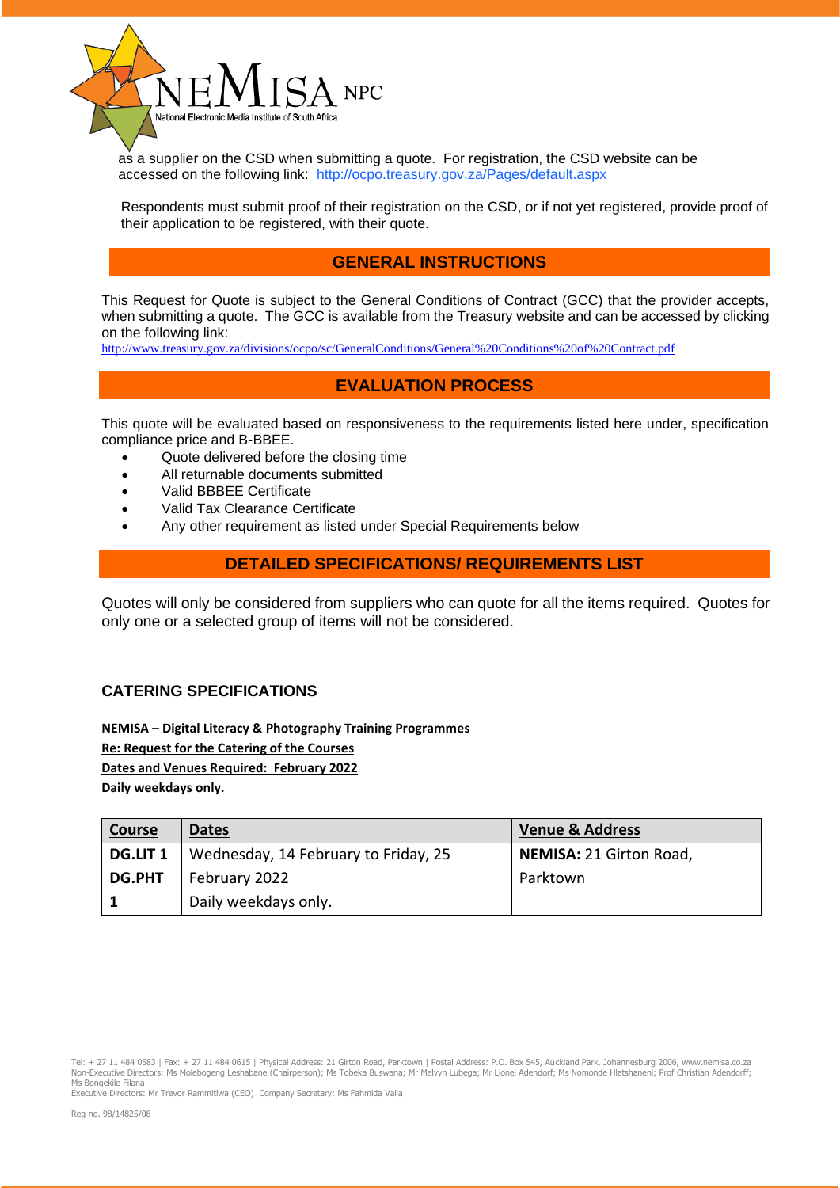

 as a supplier on the CSD when submitting a quote. For registration, the CSD website can be accessed on the following link: <http://ocpo.treasury.gov.za/Pages/default.aspx>

 Respondents must submit proof of their registration on the CSD, or if not yet registered, provide proof of their application to be registered, with their quote.

### **GENERAL INSTRUCTIONS**

This Request for Quote is subject to the General Conditions of Contract (GCC) that the provider accepts, when submitting a quote. The GCC is available from the Treasury website and can be accessed by clicking on the following link:

<http://www.treasury.gov.za/divisions/ocpo/sc/GeneralConditions/General%20Conditions%20of%20Contract.pdf>

# **EVALUATION PROCESS**

This quote will be evaluated based on responsiveness to the requirements listed here under, specification compliance price and B-BBEE.

- Quote delivered before the closing time
- All returnable documents submitted
- Valid BBBEE Certificate
- Valid Tax Clearance Certificate
- Any other requirement as listed under Special Requirements below

# **DETAILED SPECIFICATIONS/ REQUIREMENTS LIST**

Quotes will only be considered from suppliers who can quote for all the items required. Quotes for only one or a selected group of items will not be considered.

### **CATERING SPECIFICATIONS**

**NEMISA – Digital Literacy & Photography Training Programmes Re: Request for the Catering of the Courses Dates and Venues Required: February 2022 Daily weekdays only.**

| <b>Course</b>   | <b>Dates</b>                         | <b>Venue &amp; Address</b> |
|-----------------|--------------------------------------|----------------------------|
| <b>DG.LIT 1</b> | Wednesday, 14 February to Friday, 25 | NEMISA: 21 Girton Road,    |
| <b>DG.PHT</b>   | February 2022                        | Parktown                   |
|                 | Daily weekdays only.                 |                            |

Executive Directors: Mr Trevor Rammitlwa (CEO) Company Secretary: Ms Fahmida Valla

Tel: + 27 11 484 0583 | Fax: + 27 11 484 0615 | Physical Address: 21 Girton Road, Parktown | Postal Address: P.O. Box 545, Auckland Park, Johannesburg 2006, www.nemisa.co.za<br>Non-Executive Directors: Ms Molebogeng Leshabane Ms Bongekile Filana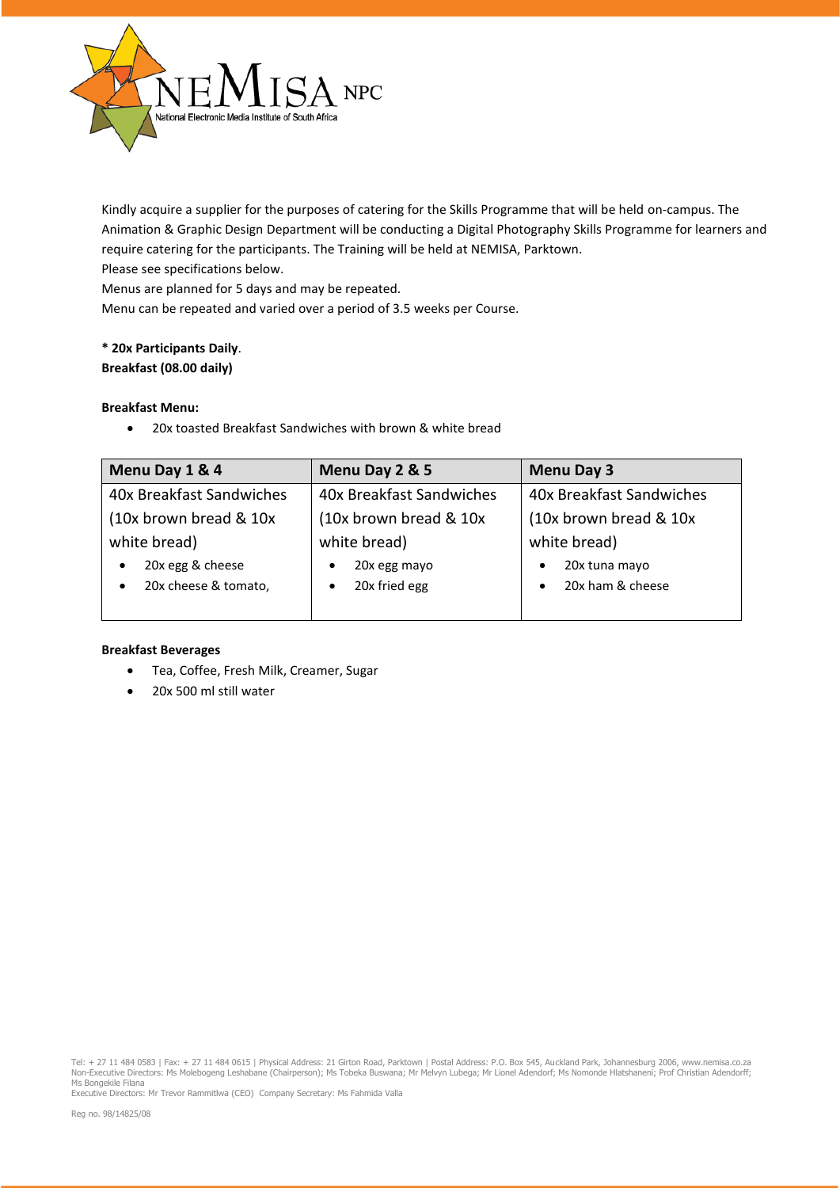

Kindly acquire a supplier for the purposes of catering for the Skills Programme that will be held on-campus. The Animation & Graphic Design Department will be conducting a Digital Photography Skills Programme for learners and require catering for the participants. The Training will be held at NEMISA, Parktown.

Please see specifications below.

Menus are planned for 5 days and may be repeated.

Menu can be repeated and varied over a period of 3.5 weeks per Course.

### **\* 20x Participants Daily**. **Breakfast (08.00 daily)**

### **Breakfast Menu:**

• 20x toasted Breakfast Sandwiches with brown & white bread

| Menu Day 1 & 4           | Menu Day 2 & 5                                       | <b>Menu Day 3</b>       |  |
|--------------------------|------------------------------------------------------|-------------------------|--|
| 40x Breakfast Sandwiches | 40x Breakfast Sandwiches<br>40x Breakfast Sandwiches |                         |  |
| (10x brown bread & 10x)  | (10x brown bread & 10x)                              | (10x brown bread & 10x) |  |
| white bread)             | white bread)                                         | white bread)            |  |
| 20x egg & cheese         | 20x egg mayo                                         | 20x tuna mayo           |  |
| 20x cheese & tomato,     | 20x fried egg                                        | 20x ham & cheese        |  |
|                          |                                                      |                         |  |

#### **Breakfast Beverages**

- Tea, Coffee, Fresh Milk, Creamer, Sugar
- 20x 500 ml still water

Executive Directors: Mr Trevor Rammitlwa (CEO) Company Secretary: Ms Fahmida Valla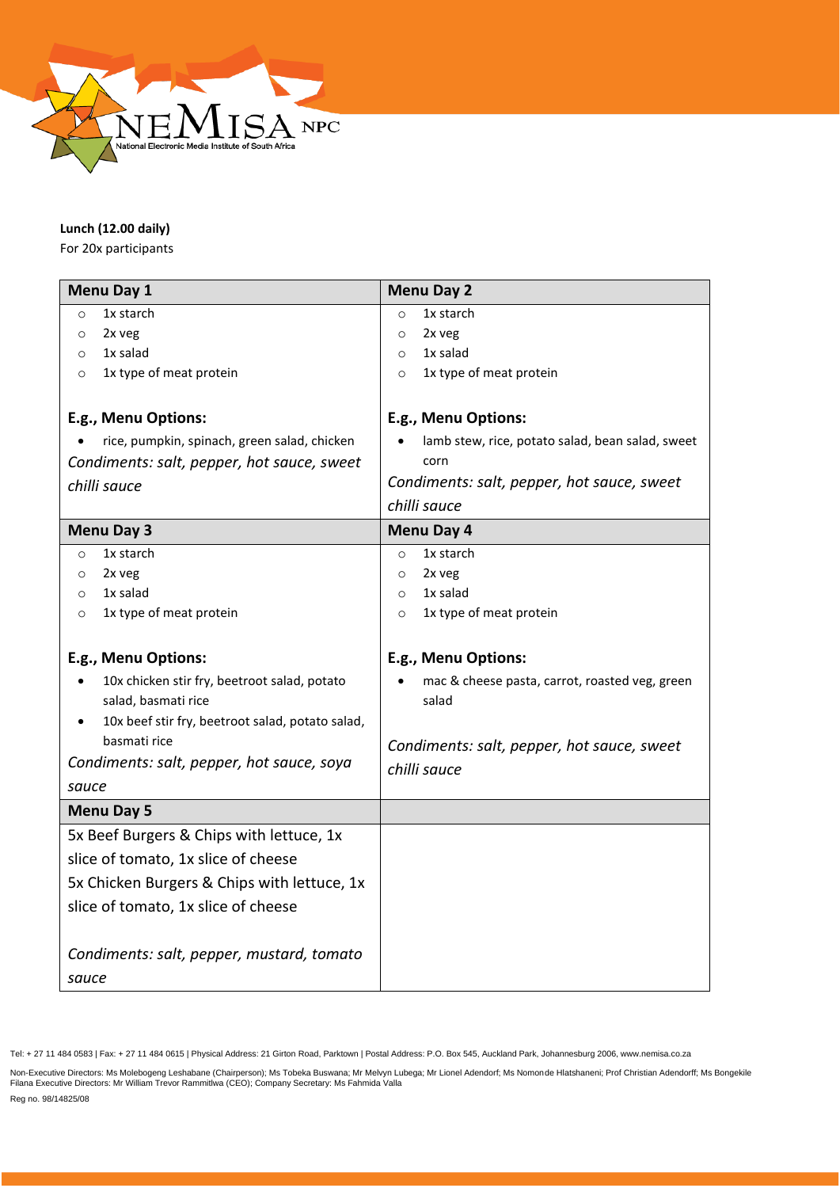

### **Lunch (12.00 daily)**

For 20x participants

|                                           | Menu Day 1                                       | Menu Day 2                                       |  |
|-------------------------------------------|--------------------------------------------------|--------------------------------------------------|--|
| $\circ$                                   | 1x starch                                        | 1x starch<br>$\circ$                             |  |
| $\circ$                                   | 2x veg                                           | 2x veg<br>$\circ$                                |  |
| $\circ$                                   | 1x salad                                         | 1x salad<br>$\circ$                              |  |
| $\circ$                                   | 1x type of meat protein                          | 1x type of meat protein<br>$\circ$               |  |
|                                           |                                                  |                                                  |  |
|                                           | E.g., Menu Options:                              | E.g., Menu Options:                              |  |
|                                           | rice, pumpkin, spinach, green salad, chicken     | lamb stew, rice, potato salad, bean salad, sweet |  |
|                                           | Condiments: salt, pepper, hot sauce, sweet       | corn                                             |  |
|                                           | chilli sauce                                     | Condiments: salt, pepper, hot sauce, sweet       |  |
|                                           |                                                  | chilli sauce                                     |  |
|                                           | <b>Menu Day 3</b>                                | Menu Day 4                                       |  |
| $\circ$                                   | 1x starch                                        | 1x starch<br>$\circ$                             |  |
| $\circ$                                   | 2x veg                                           | 2x veg<br>$\circ$                                |  |
| $\circ$                                   | 1x salad                                         | 1x salad<br>$\circ$                              |  |
| $\circ$                                   | 1x type of meat protein                          | 1x type of meat protein<br>$\circ$               |  |
|                                           |                                                  |                                                  |  |
|                                           | E.g., Menu Options:                              | E.g., Menu Options:                              |  |
|                                           | 10x chicken stir fry, beetroot salad, potato     | mac & cheese pasta, carrot, roasted veg, green   |  |
|                                           | salad, basmati rice                              | salad                                            |  |
|                                           | 10x beef stir fry, beetroot salad, potato salad, |                                                  |  |
|                                           | basmati rice                                     | Condiments: salt, pepper, hot sauce, sweet       |  |
| Condiments: salt, pepper, hot sauce, soya |                                                  | chilli sauce                                     |  |
| sauce                                     |                                                  |                                                  |  |
|                                           | <b>Menu Day 5</b>                                |                                                  |  |
|                                           | 5x Beef Burgers & Chips with lettuce, 1x         |                                                  |  |
|                                           | slice of tomato, 1x slice of cheese              |                                                  |  |
|                                           | 5x Chicken Burgers & Chips with lettuce, 1x      |                                                  |  |
|                                           | slice of tomato, 1x slice of cheese              |                                                  |  |
|                                           |                                                  |                                                  |  |
|                                           | Condiments: salt, pepper, mustard, tomato        |                                                  |  |
| sauce                                     |                                                  |                                                  |  |

Tel: + 27 11 484 0583 | Fax: + 27 11 484 0615 | Physical Address: 21 Girton Road, Parktown | Postal Address: P.O. Box 545, Auckland Park, Johannesburg 2006, www.nemisa.co.za

Non-Executive Directors: Ms Molebogeng Leshabane (Chairperson); Ms Tobeka Buswana; Mr Melvyn Lubega; Mr Lionel Adendorf; Ms Nomonde Hlatshaneni; Prof Christian Adendorff; Ms Bongekile<br>Filana Executive Directors: Mr William

Reg no. 98/14825/08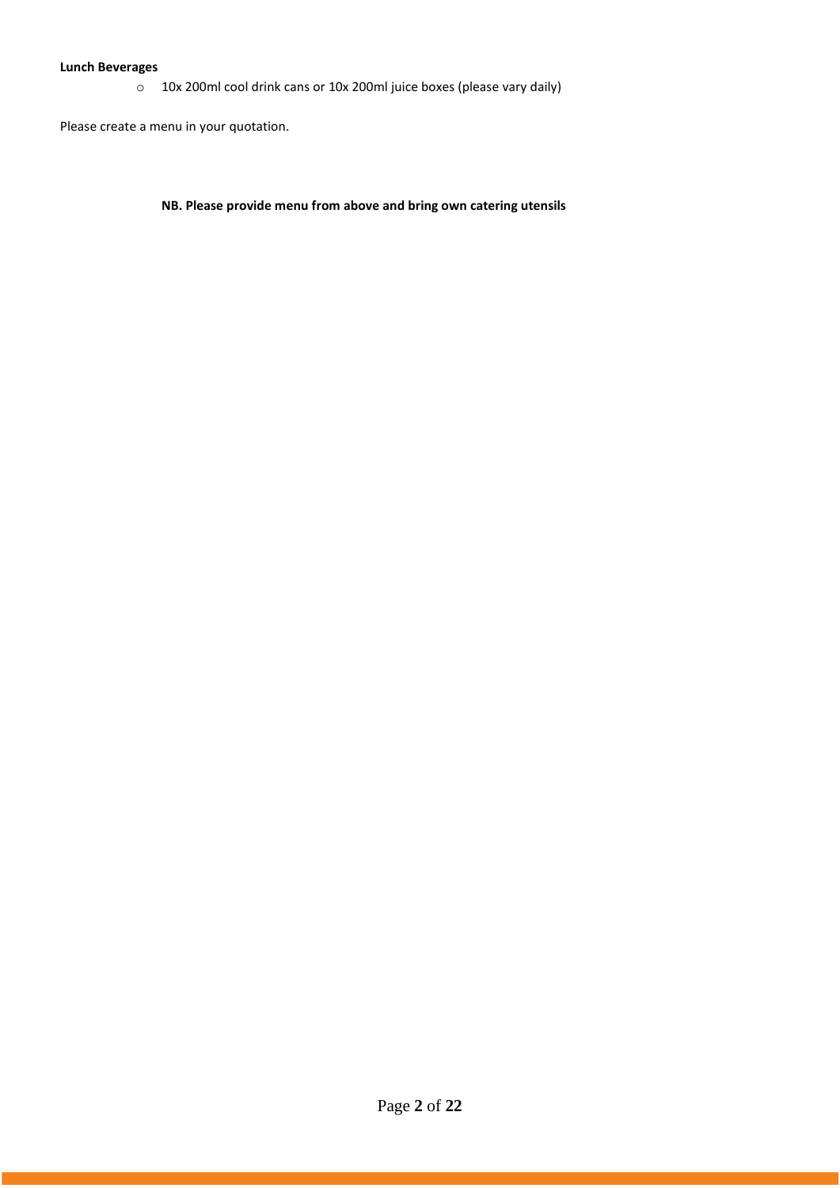### **Lunch Beverages**

o 10x 200ml cool drink cans or 10x 200ml juice boxes (please vary daily)

Please create a menu in your quotation.

**NB. Please provide menu from above and bring own catering utensils**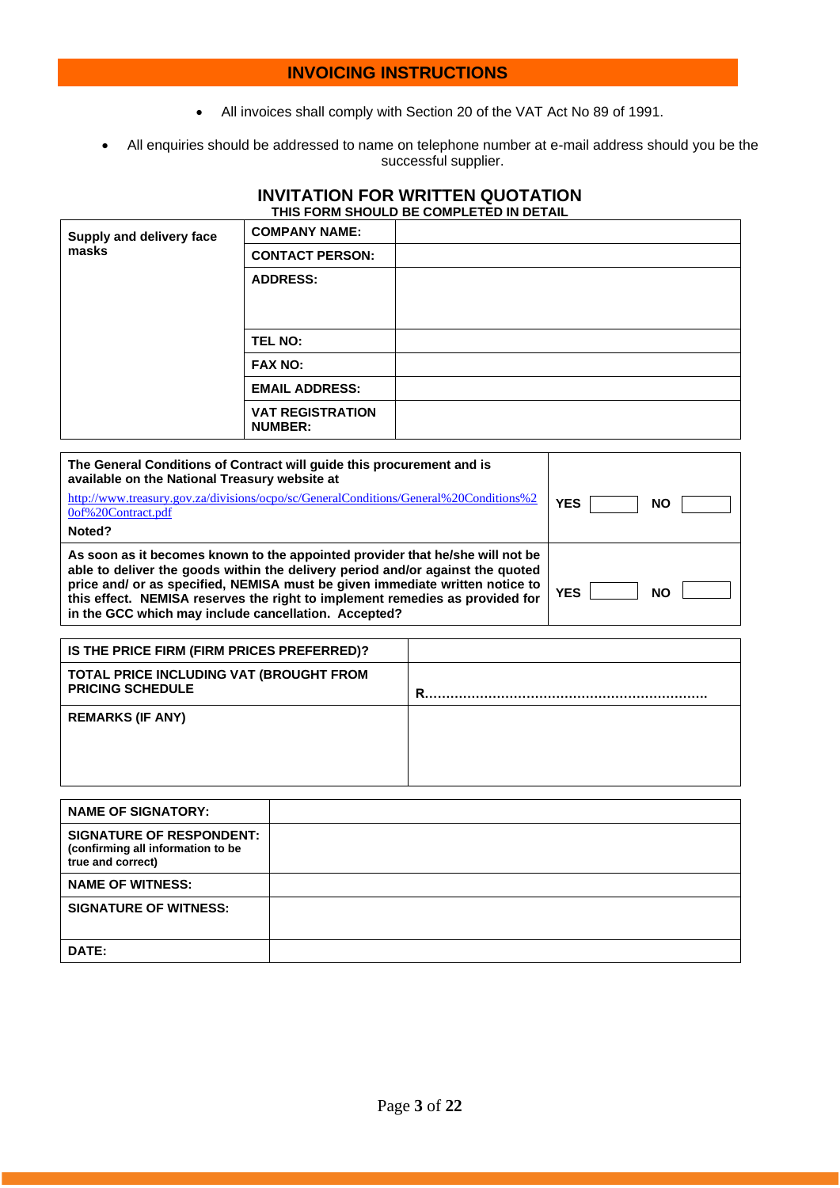# **INVOICING INSTRUCTIONS**

- All invoices shall comply with Section 20 of the VAT Act No 89 of 1991.
- All enquiries should be addressed to name on telephone number at e-mail address should you be the successful supplier.

### **INVITATION FOR WRITTEN QUOTATION THIS FORM SHOULD BE COMPLETED IN DETAIL**

| Supply and delivery face<br>masks | <b>COMPANY NAME:</b>                      |  |
|-----------------------------------|-------------------------------------------|--|
|                                   | <b>CONTACT PERSON:</b>                    |  |
|                                   | <b>ADDRESS:</b>                           |  |
|                                   | TEL NO:                                   |  |
|                                   | <b>FAX NO:</b>                            |  |
|                                   | <b>EMAIL ADDRESS:</b>                     |  |
|                                   | <b>VAT REGISTRATION</b><br><b>NUMBER:</b> |  |

| The General Conditions of Contract will quide this procurement and is<br>available on the National Treasury website at                                                                                                                                                                                                                                                                  |            |           |
|-----------------------------------------------------------------------------------------------------------------------------------------------------------------------------------------------------------------------------------------------------------------------------------------------------------------------------------------------------------------------------------------|------------|-----------|
| http://www.treasury.gov.za/divisions/ocpo/sc/GeneralConditions/General%20Conditions%2<br>0of%20Contract.pdf                                                                                                                                                                                                                                                                             | <b>YES</b> | <b>NO</b> |
| Noted?                                                                                                                                                                                                                                                                                                                                                                                  |            |           |
| As soon as it becomes known to the appointed provider that he/she will not be<br>able to deliver the goods within the delivery period and/or against the quoted<br>price and/ or as specified, NEMISA must be given immediate written notice to<br>this effect. NEMISA reserves the right to implement remedies as provided for<br>in the GCC which may include cancellation. Accepted? | <b>YES</b> | <b>NO</b> |

| IS THE PRICE FIRM (FIRM PRICES PREFERRED)?                         |   |
|--------------------------------------------------------------------|---|
| TOTAL PRICE INCLUDING VAT (BROUGHT FROM<br><b>PRICING SCHEDULE</b> | R |
| <b>REMARKS (IF ANY)</b>                                            |   |

| <b>NAME OF SIGNATORY:</b>                                                                 |  |
|-------------------------------------------------------------------------------------------|--|
| <b>SIGNATURE OF RESPONDENT:</b><br>(confirming all information to be<br>true and correct) |  |
| <b>NAME OF WITNESS:</b>                                                                   |  |
| <b>SIGNATURE OF WITNESS:</b>                                                              |  |
| DATE:                                                                                     |  |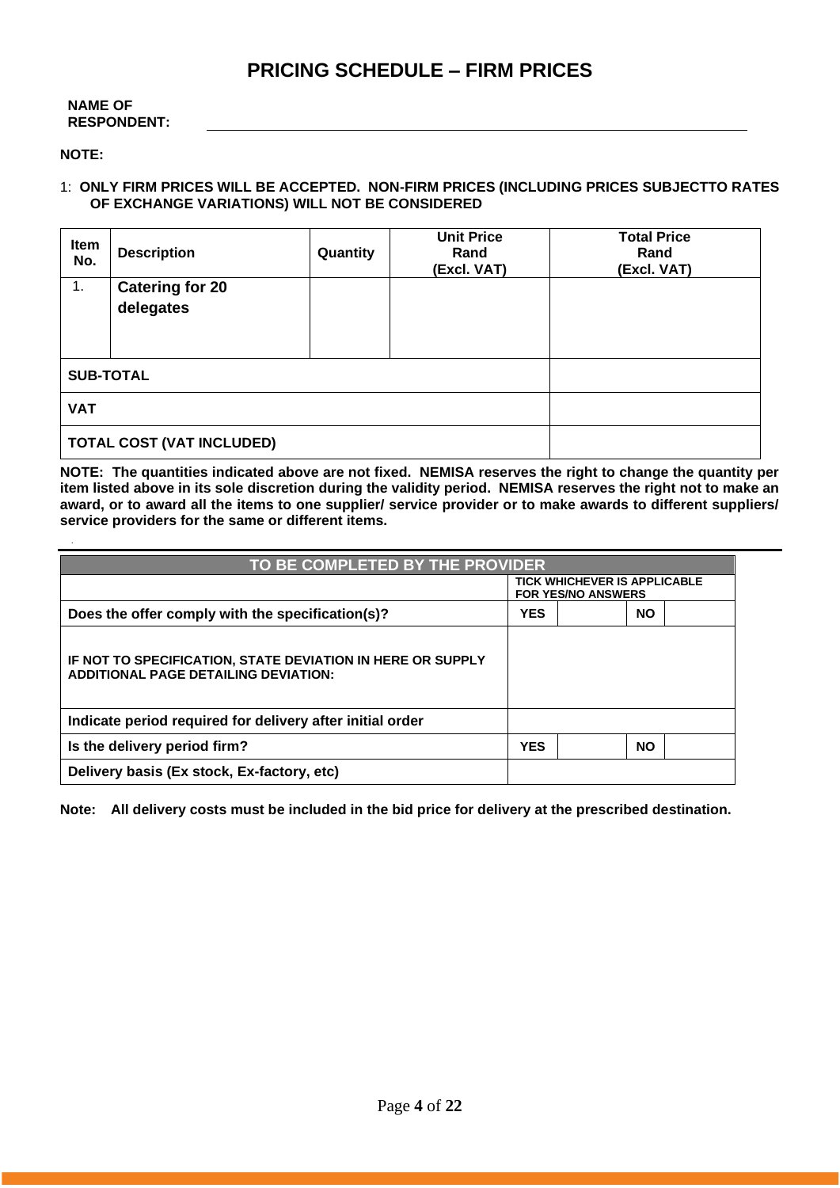# **PRICING SCHEDULE – FIRM PRICES**

### **NAME OF RESPONDENT:**

### **NOTE:**

### 1: **ONLY FIRM PRICES WILL BE ACCEPTED. NON-FIRM PRICES (INCLUDING PRICES SUBJECTTO RATES OF EXCHANGE VARIATIONS) WILL NOT BE CONSIDERED**

| Item<br>No.                      | <b>Description</b>     | Quantity | <b>Unit Price</b><br>Rand<br>(Excl. VAT) | <b>Total Price</b><br>Rand<br>(Excl. VAT) |  |
|----------------------------------|------------------------|----------|------------------------------------------|-------------------------------------------|--|
| $\overline{1}$ .                 | <b>Catering for 20</b> |          |                                          |                                           |  |
|                                  | delegates              |          |                                          |                                           |  |
|                                  |                        |          |                                          |                                           |  |
|                                  |                        |          |                                          |                                           |  |
| <b>SUB-TOTAL</b>                 |                        |          |                                          |                                           |  |
| <b>VAT</b>                       |                        |          |                                          |                                           |  |
| <b>TOTAL COST (VAT INCLUDED)</b> |                        |          |                                          |                                           |  |

**NOTE: The quantities indicated above are not fixed. NEMISA reserves the right to change the quantity per item listed above in its sole discretion during the validity period. NEMISA reserves the right not to make an award, or to award all the items to one supplier/ service provider or to make awards to different suppliers/ service providers for the same or different items.**

| TO BE COMPLETED BY THE PROVIDER                                                                           |                                                                  |           |  |  |
|-----------------------------------------------------------------------------------------------------------|------------------------------------------------------------------|-----------|--|--|
|                                                                                                           | <b>TICK WHICHEVER IS APPLICABLE</b><br><b>FOR YES/NO ANSWERS</b> |           |  |  |
| Does the offer comply with the specification(s)?                                                          | <b>YES</b>                                                       | <b>NO</b> |  |  |
| IF NOT TO SPECIFICATION, STATE DEVIATION IN HERE OR SUPPLY<br><b>ADDITIONAL PAGE DETAILING DEVIATION:</b> |                                                                  |           |  |  |
| Indicate period required for delivery after initial order                                                 |                                                                  |           |  |  |
| Is the delivery period firm?                                                                              | <b>YES</b>                                                       | <b>NO</b> |  |  |
| Delivery basis (Ex stock, Ex-factory, etc)                                                                |                                                                  |           |  |  |

**Note: All delivery costs must be included in the bid price for delivery at the prescribed destination.**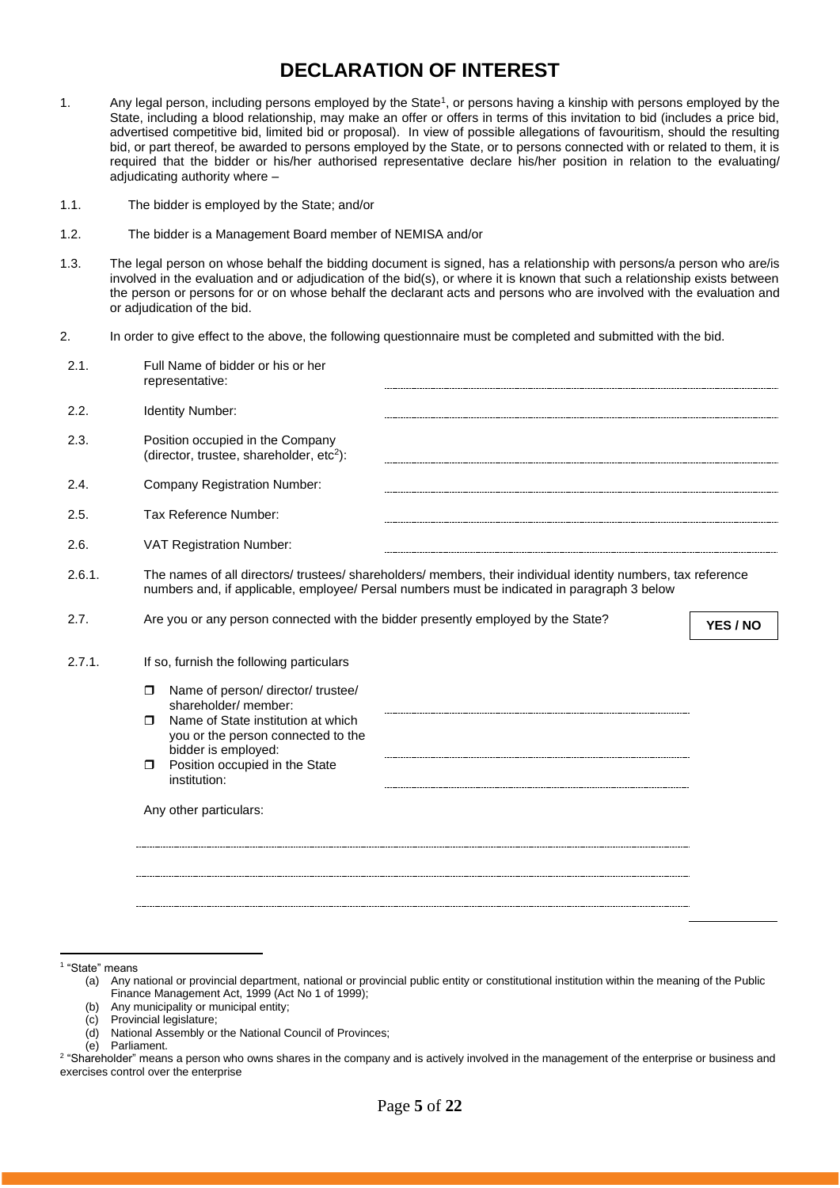# **DECLARATION OF INTEREST**

- 1. Any legal person, including persons employed by the State<sup>1</sup>, or persons having a kinship with persons employed by the State, including a blood relationship, may make an offer or offers in terms of this invitation to bid (includes a price bid, advertised competitive bid, limited bid or proposal). In view of possible allegations of favouritism, should the resulting bid, or part thereof, be awarded to persons employed by the State, or to persons connected with or related to them, it is required that the bidder or his/her authorised representative declare his/her position in relation to the evaluating/ adjudicating authority where –
- 1.1. The bidder is employed by the State; and/or
- 1.2. The bidder is a Management Board member of NEMISA and/or
- 1.3. The legal person on whose behalf the bidding document is signed, has a relationship with persons/a person who are/is involved in the evaluation and or adjudication of the bid(s), or where it is known that such a relationship exists between the person or persons for or on whose behalf the declarant acts and persons who are involved with the evaluation and or adjudication of the bid.
- 2. In order to give effect to the above, the following questionnaire must be completed and submitted with the bid.

| 2.1.   | Full Name of bidder or his or her<br>representative:                                                                                                                                                                                                                    |          |
|--------|-------------------------------------------------------------------------------------------------------------------------------------------------------------------------------------------------------------------------------------------------------------------------|----------|
| 2.2.   | Identity Number:                                                                                                                                                                                                                                                        |          |
| 2.3.   | Position occupied in the Company<br>(director, trustee, shareholder, etc <sup>2</sup> ):                                                                                                                                                                                |          |
| 2.4.   | <b>Company Registration Number:</b>                                                                                                                                                                                                                                     |          |
| 2.5.   | Tax Reference Number:                                                                                                                                                                                                                                                   |          |
| 2.6.   | VAT Registration Number:                                                                                                                                                                                                                                                |          |
| 2.6.1. | The names of all directors/ trustees/ shareholders/ members, their individual identity numbers, tax reference<br>numbers and, if applicable, employee/ Persal numbers must be indicated in paragraph 3 below                                                            |          |
| 2.7.   | Are you or any person connected with the bidder presently employed by the State?                                                                                                                                                                                        | YES / NO |
| 2.7.1. | If so, furnish the following particulars                                                                                                                                                                                                                                |          |
|        | Name of person/ director/ trustee/<br>$\Box$<br>shareholder/ member:<br>Name of State institution at which<br>$\Box$<br>you or the person connected to the<br>bidder is employed:<br>Position occupied in the State<br>$\Box$<br>institution:<br>Any other particulars: |          |
|        |                                                                                                                                                                                                                                                                         |          |

1 "State" means

(b) Any municipality or municipal entity;

(d) National Assembly or the National Council of Provinces;

<sup>(</sup>a) Any national or provincial department, national or provincial public entity or constitutional institution within the meaning of the Public Finance Management Act, 1999 (Act No 1 of 1999);

<sup>(</sup>c) Provincial legislature;

<sup>(</sup>e) Parliament.

<sup>&</sup>lt;sup>2</sup> "Shareholder" means a person who owns shares in the company and is actively involved in the management of the enterprise or business and exercises control over the enterprise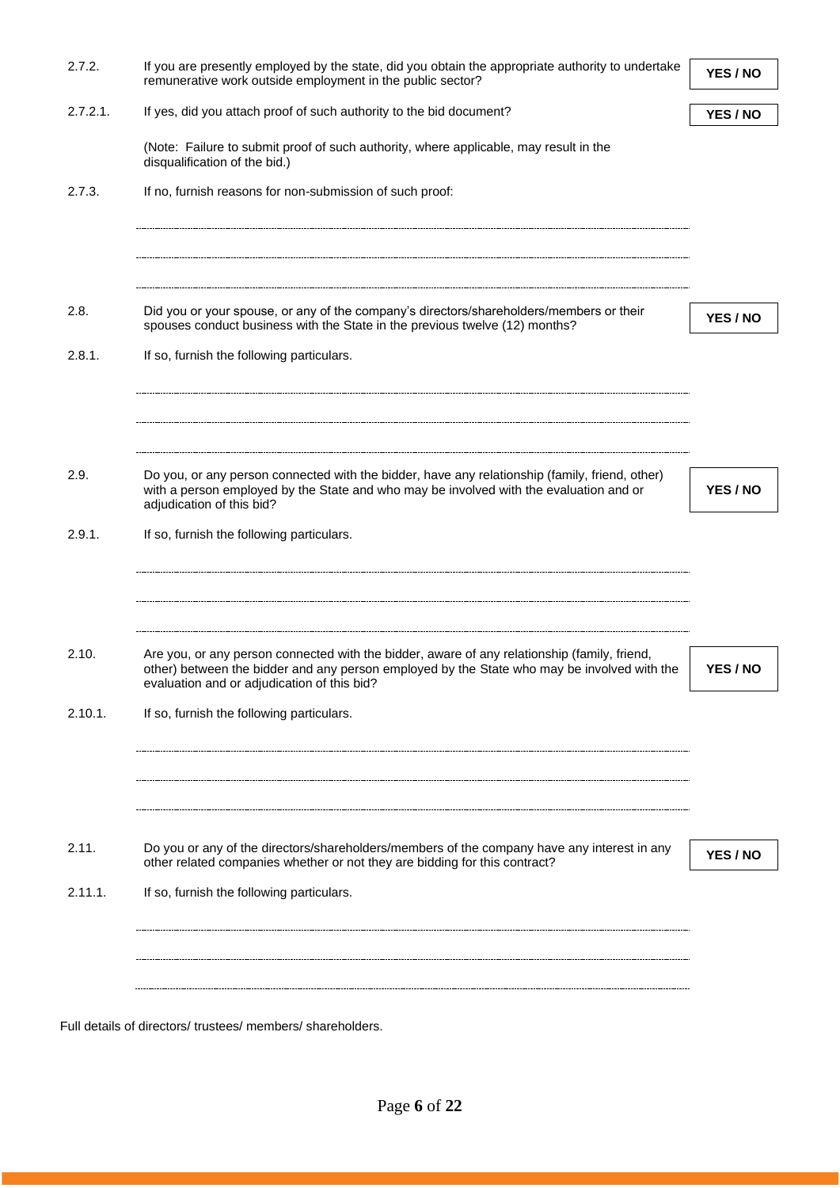| 2.7.2.      | If you are presently employed by the state, did you obtain the appropriate authority to undertake<br>remunerative work outside employment in the public sector?                                                                            | YES / NO |
|-------------|--------------------------------------------------------------------------------------------------------------------------------------------------------------------------------------------------------------------------------------------|----------|
| $2.7.2.1$ . | If yes, did you attach proof of such authority to the bid document?                                                                                                                                                                        | YES / NO |
|             | (Note: Failure to submit proof of such authority, where applicable, may result in the<br>disqualification of the bid.)                                                                                                                     |          |
| 2.7.3.      | If no, furnish reasons for non-submission of such proof:                                                                                                                                                                                   |          |
|             |                                                                                                                                                                                                                                            |          |
|             |                                                                                                                                                                                                                                            |          |
| 2.8.        | Did you or your spouse, or any of the company's directors/shareholders/members or their<br>spouses conduct business with the State in the previous twelve (12) months?                                                                     | YES / NO |
| 2.8.1.      | If so, furnish the following particulars.                                                                                                                                                                                                  |          |
|             |                                                                                                                                                                                                                                            |          |
|             |                                                                                                                                                                                                                                            |          |
| 2.9.        | Do you, or any person connected with the bidder, have any relationship (family, friend, other)<br>with a person employed by the State and who may be involved with the evaluation and or<br>adjudication of this bid?                      | YES / NO |
| 2.9.1.      | If so, furnish the following particulars.                                                                                                                                                                                                  |          |
|             |                                                                                                                                                                                                                                            |          |
|             |                                                                                                                                                                                                                                            |          |
| 2.10.       | Are you, or any person connected with the bidder, aware of any relationship (family, friend,<br>other) between the bidder and any person employed by the State who may be involved with the<br>evaluation and or adjudication of this bid? | YES / NO |
| 2.10.1.     | If so, furnish the following particulars.                                                                                                                                                                                                  |          |
|             |                                                                                                                                                                                                                                            |          |
|             |                                                                                                                                                                                                                                            |          |
| 2.11.       | Do you or any of the directors/shareholders/members of the company have any interest in any                                                                                                                                                |          |
|             | other related companies whether or not they are bidding for this contract?                                                                                                                                                                 | YES / NO |
| 2.11.1.     | If so, furnish the following particulars.                                                                                                                                                                                                  |          |
|             |                                                                                                                                                                                                                                            |          |
|             |                                                                                                                                                                                                                                            |          |
|             | Full details of directors/ trustees/ members/ shareholders.                                                                                                                                                                                |          |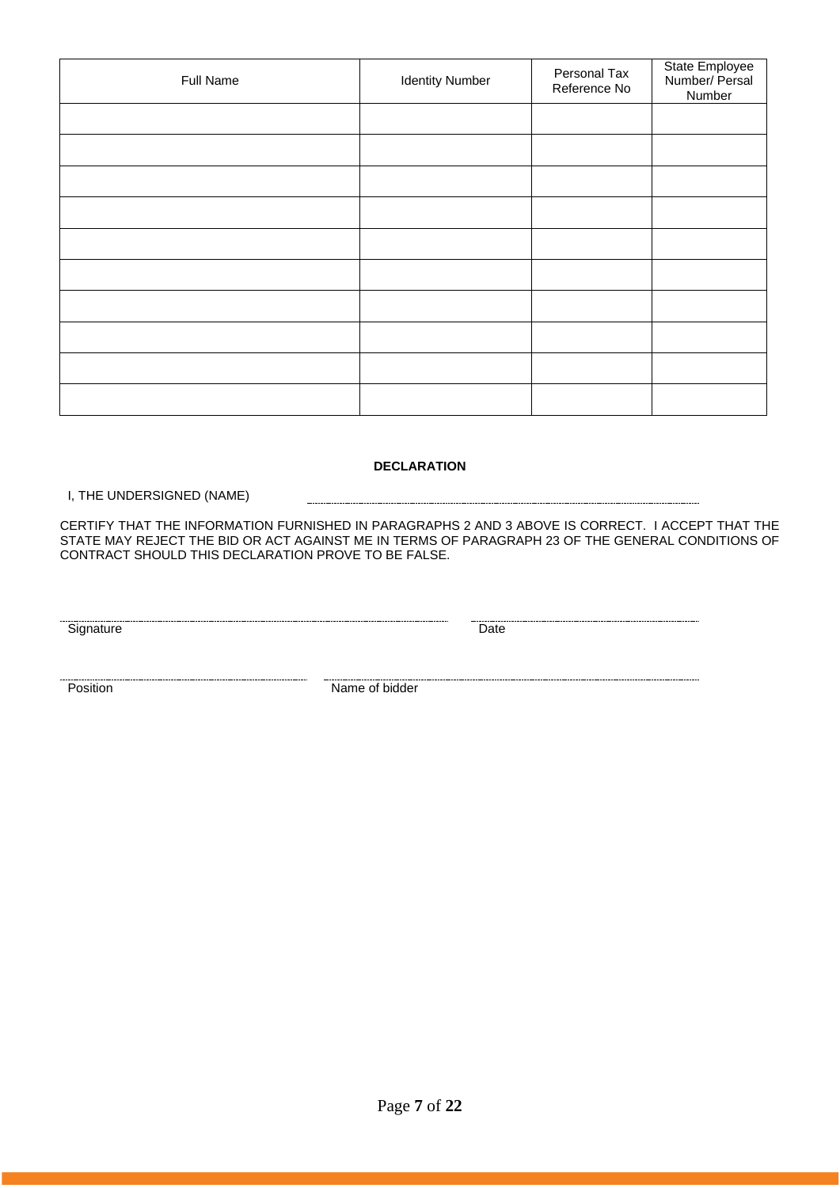| Full Name | <b>Identity Number</b> | Personal Tax<br>Reference No | State Employee<br>Number/ Persal<br>Number |
|-----------|------------------------|------------------------------|--------------------------------------------|
|           |                        |                              |                                            |
|           |                        |                              |                                            |
|           |                        |                              |                                            |
|           |                        |                              |                                            |
|           |                        |                              |                                            |
|           |                        |                              |                                            |
|           |                        |                              |                                            |
|           |                        |                              |                                            |
|           |                        |                              |                                            |
|           |                        |                              |                                            |

### **DECLARATION**

I, THE UNDERSIGNED (NAME)

CERTIFY THAT THE INFORMATION FURNISHED IN PARAGRAPHS 2 AND 3 ABOVE IS CORRECT. I ACCEPT THAT THE STATE MAY REJECT THE BID OR ACT AGAINST ME IN TERMS OF PARAGRAPH 23 OF THE GENERAL CONDITIONS OF CONTRACT SHOULD THIS DECLARATION PROVE TO BE FALSE.

Signature Date

**Position** Name of bidder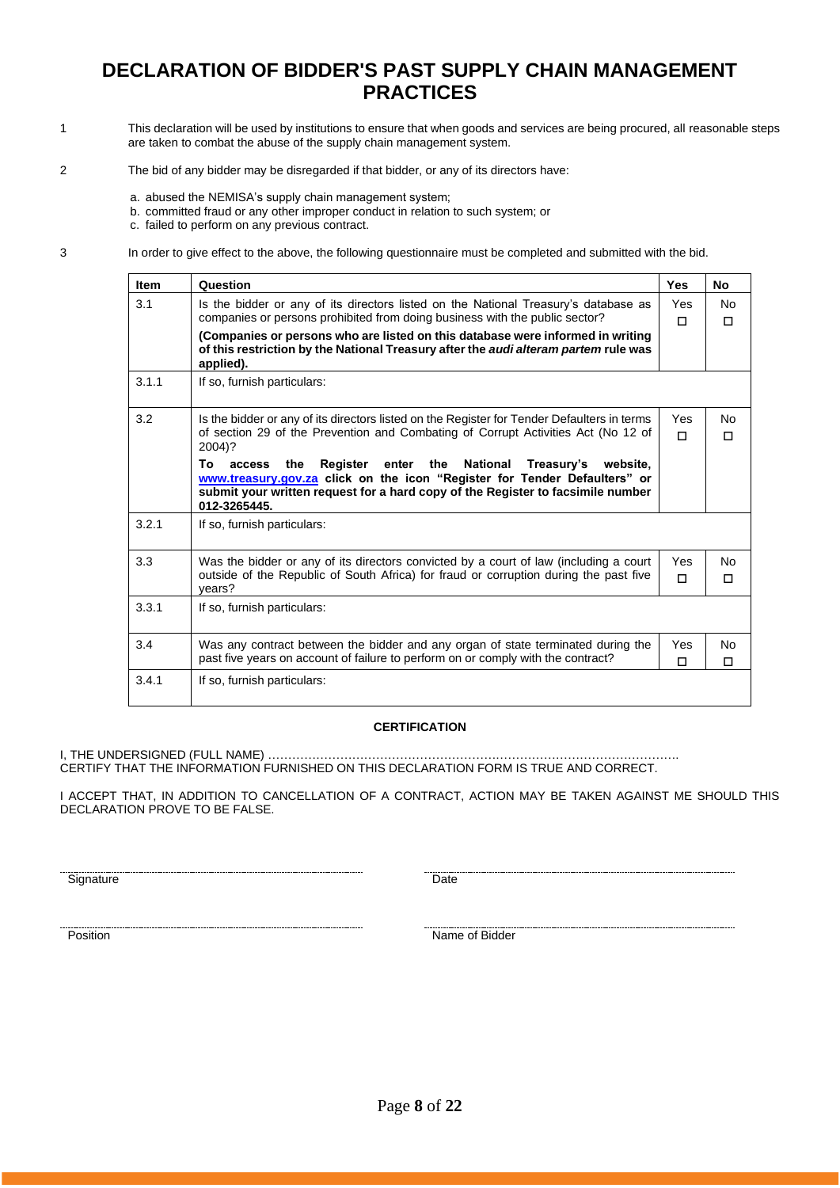# **DECLARATION OF BIDDER'S PAST SUPPLY CHAIN MANAGEMENT PRACTICES**

- 1 This declaration will be used by institutions to ensure that when goods and services are being procured, all reasonable steps are taken to combat the abuse of the supply chain management system.
- 2 The bid of any bidder may be disregarded if that bidder, or any of its directors have:
	- a. abused the NEMISA's supply chain management system;
	- b. committed fraud or any other improper conduct in relation to such system; or

c. failed to perform on any previous contract.

3 In order to give effect to the above, the following questionnaire must be completed and submitted with the bid.

| <b>Item</b> | Question                                                                                                                                                                                                                                                        | <b>Yes</b> | <b>No</b> |
|-------------|-----------------------------------------------------------------------------------------------------------------------------------------------------------------------------------------------------------------------------------------------------------------|------------|-----------|
| 3.1         | Is the bidder or any of its directors listed on the National Treasury's database as<br>companies or persons prohibited from doing business with the public sector?                                                                                              | Yes        | <b>No</b> |
|             | (Companies or persons who are listed on this database were informed in writing<br>of this restriction by the National Treasury after the audi alteram partem rule was                                                                                           | п          | п         |
|             | applied).                                                                                                                                                                                                                                                       |            |           |
| 3.1.1       | If so, furnish particulars:                                                                                                                                                                                                                                     |            |           |
| 3.2         | Is the bidder or any of its directors listed on the Register for Tender Defaulters in terms                                                                                                                                                                     | Yes        | No        |
|             | of section 29 of the Prevention and Combating of Corrupt Activities Act (No 12 of<br>2004)?                                                                                                                                                                     | П          | п         |
|             | enter the<br>National<br>Treasury's website,<br>To<br>the<br>Register<br>access<br>www.treasury.gov.za click on the icon "Register for Tender Defaulters" or<br>submit your written request for a hard copy of the Register to facsimile number<br>012-3265445. |            |           |
| 3.2.1       | If so, furnish particulars:                                                                                                                                                                                                                                     |            |           |
| 3.3         | Was the bidder or any of its directors convicted by a court of law (including a court                                                                                                                                                                           | Yes        | Nο        |
|             | outside of the Republic of South Africa) for fraud or corruption during the past five<br>years?                                                                                                                                                                 | П          | п         |
| 3.3.1       | If so, furnish particulars:                                                                                                                                                                                                                                     |            |           |
| 3.4         | Was any contract between the bidder and any organ of state terminated during the                                                                                                                                                                                | Yes        | Nο        |
|             | past five years on account of failure to perform on or comply with the contract?                                                                                                                                                                                | П          | п         |
| 3.4.1       | If so, furnish particulars:                                                                                                                                                                                                                                     |            |           |

#### **CERTIFICATION**

I, THE UNDERSIGNED (FULL NAME) …………………………………………………………………………………………. CERTIFY THAT THE INFORMATION FURNISHED ON THIS DECLARATION FORM IS TRUE AND CORRECT.

I ACCEPT THAT, IN ADDITION TO CANCELLATION OF A CONTRACT, ACTION MAY BE TAKEN AGAINST ME SHOULD THIS DECLARATION PROVE TO BE FALSE.

Signature Date

Position Name of Bidder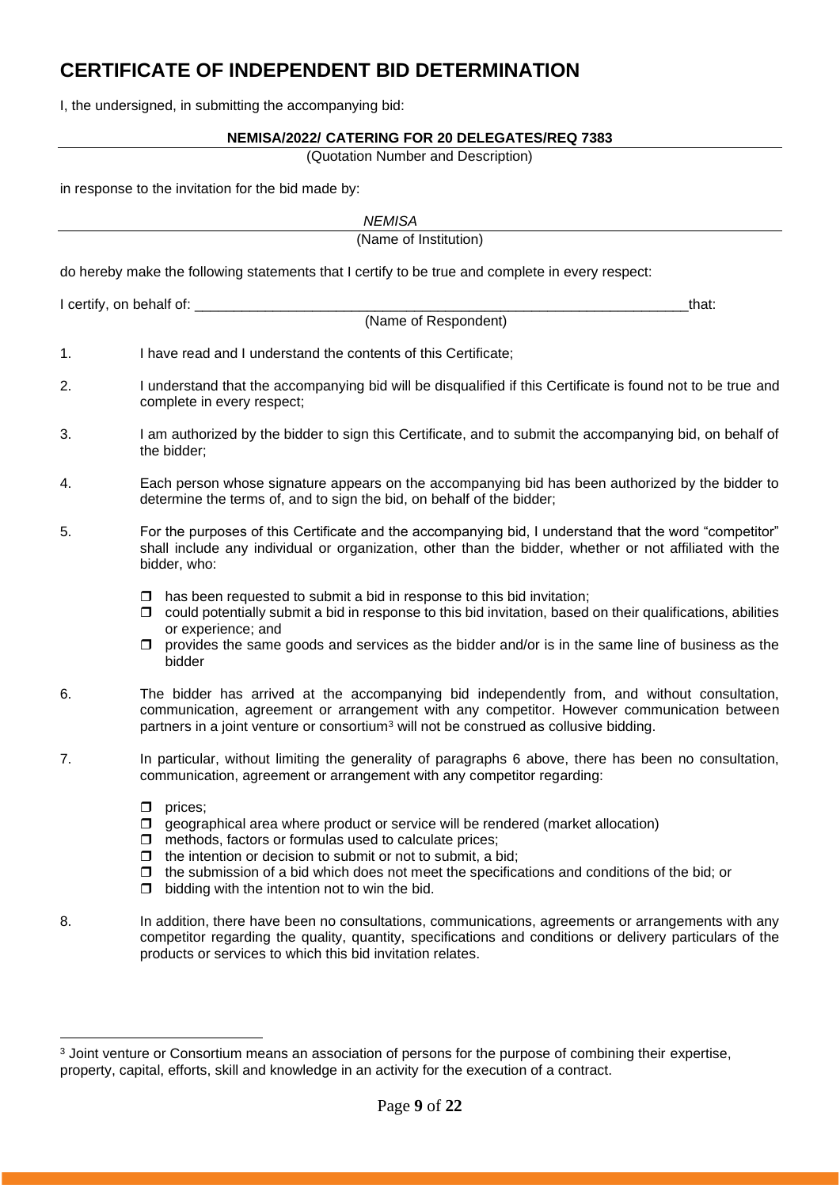# **CERTIFICATE OF INDEPENDENT BID DETERMINATION**

I, the undersigned, in submitting the accompanying bid:

### **NEMISA/2022/ CATERING FOR 20 DELEGATES/REQ 7383**

(Quotation Number and Description)

in response to the invitation for the bid made by:

|                            | <b>NEMISA</b>                                                                                                                                                                                                                                                                                                                                                                                        |
|----------------------------|------------------------------------------------------------------------------------------------------------------------------------------------------------------------------------------------------------------------------------------------------------------------------------------------------------------------------------------------------------------------------------------------------|
|                            | (Name of Institution)                                                                                                                                                                                                                                                                                                                                                                                |
|                            | do hereby make the following statements that I certify to be true and complete in every respect:                                                                                                                                                                                                                                                                                                     |
| I certify, on behalf of: _ | that:                                                                                                                                                                                                                                                                                                                                                                                                |
|                            | (Name of Respondent)                                                                                                                                                                                                                                                                                                                                                                                 |
| 1.                         | I have read and I understand the contents of this Certificate;                                                                                                                                                                                                                                                                                                                                       |
| 2.                         | I understand that the accompanying bid will be disqualified if this Certificate is found not to be true and<br>complete in every respect;                                                                                                                                                                                                                                                            |
| 3.                         | I am authorized by the bidder to sign this Certificate, and to submit the accompanying bid, on behalf of<br>the bidder;                                                                                                                                                                                                                                                                              |
| 4.                         | Each person whose signature appears on the accompanying bid has been authorized by the bidder to<br>determine the terms of, and to sign the bid, on behalf of the bidder;                                                                                                                                                                                                                            |
| 5.                         | For the purposes of this Certificate and the accompanying bid, I understand that the word "competitor"<br>shall include any individual or organization, other than the bidder, whether or not affiliated with the<br>bidder, who:                                                                                                                                                                    |
|                            | has been requested to submit a bid in response to this bid invitation;<br>□<br>could potentially submit a bid in response to this bid invitation, based on their qualifications, abilities<br>□<br>or experience; and<br>provides the same goods and services as the bidder and/or is in the same line of business as the<br>□<br>bidder                                                             |
| 6.                         | The bidder has arrived at the accompanying bid independently from, and without consultation,<br>communication, agreement or arrangement with any competitor. However communication between<br>partners in a joint venture or consortium <sup>3</sup> will not be construed as collusive bidding.                                                                                                     |
| 7.                         | In particular, without limiting the generality of paragraphs 6 above, there has been no consultation,<br>communication, agreement or arrangement with any competitor regarding:                                                                                                                                                                                                                      |
|                            | prices;<br>◻<br>geographical area where product or service will be rendered (market allocation)<br>□<br>methods, factors or formulas used to calculate prices;<br>□<br>the intention or decision to submit or not to submit, a bid;<br>□<br>the submission of a bid which does not meet the specifications and conditions of the bid; or<br>□<br>bidding with the intention not to win the bid.<br>◻ |
| 8.                         | In addition, there have been no consultations, communications, agreements or arrangements with any<br>competitor regarding the quality, quantity, specifications and conditions or delivery particulars of the<br>products or services to which this bid invitation relates.                                                                                                                         |

<sup>&</sup>lt;sup>3</sup> Joint venture or Consortium means an association of persons for the purpose of combining their expertise, property, capital, efforts, skill and knowledge in an activity for the execution of a contract.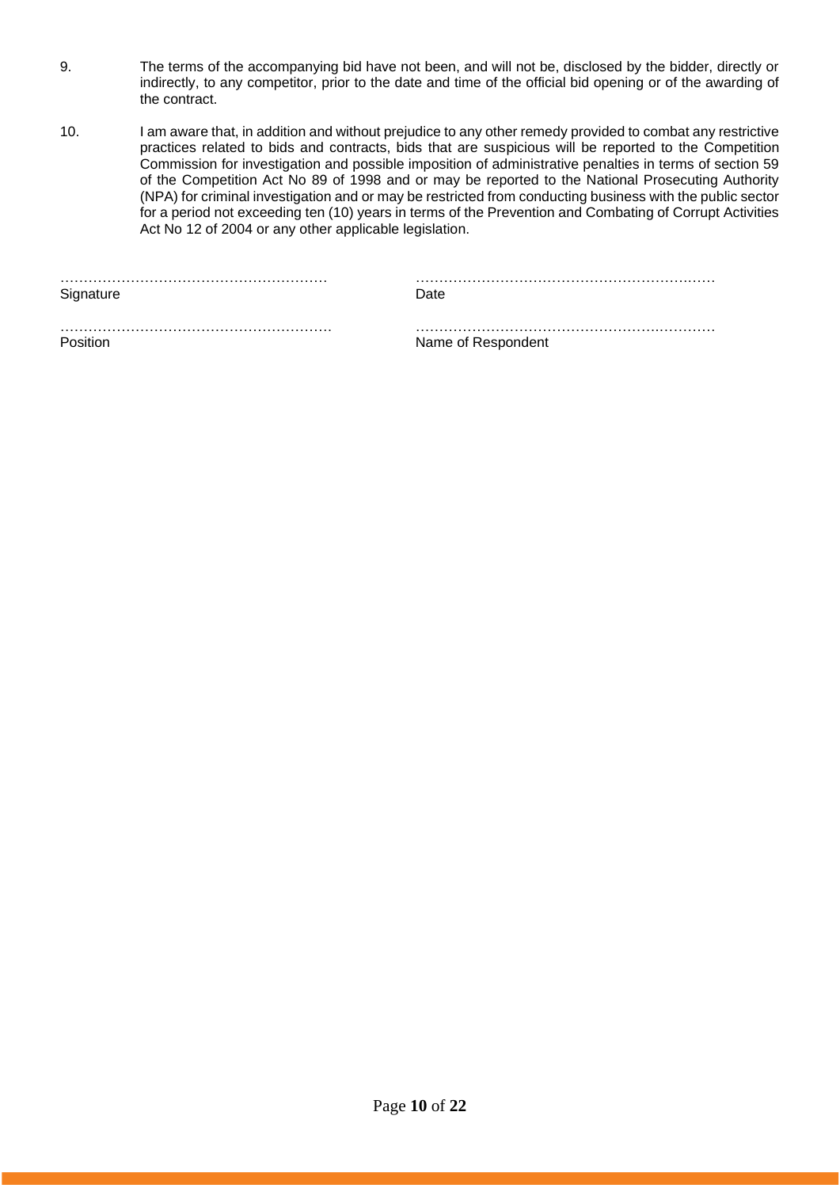- 9. The terms of the accompanying bid have not been, and will not be, disclosed by the bidder, directly or indirectly, to any competitor, prior to the date and time of the official bid opening or of the awarding of the contract.
- 10. I am aware that, in addition and without prejudice to any other remedy provided to combat any restrictive practices related to bids and contracts, bids that are suspicious will be reported to the Competition Commission for investigation and possible imposition of administrative penalties in terms of section 59 of the Competition Act No 89 of 1998 and or may be reported to the National Prosecuting Authority (NPA) for criminal investigation and or may be restricted from conducting business with the public sector for a period not exceeding ten (10) years in terms of the Prevention and Combating of Corrupt Activities Act No 12 of 2004 or any other applicable legislation.

|           | . |
|-----------|---|
| Signature |   |

………………………………………………… ………………………………………………….……

…………………………………………………. …………………………………………….………… Position **Name of Respondent**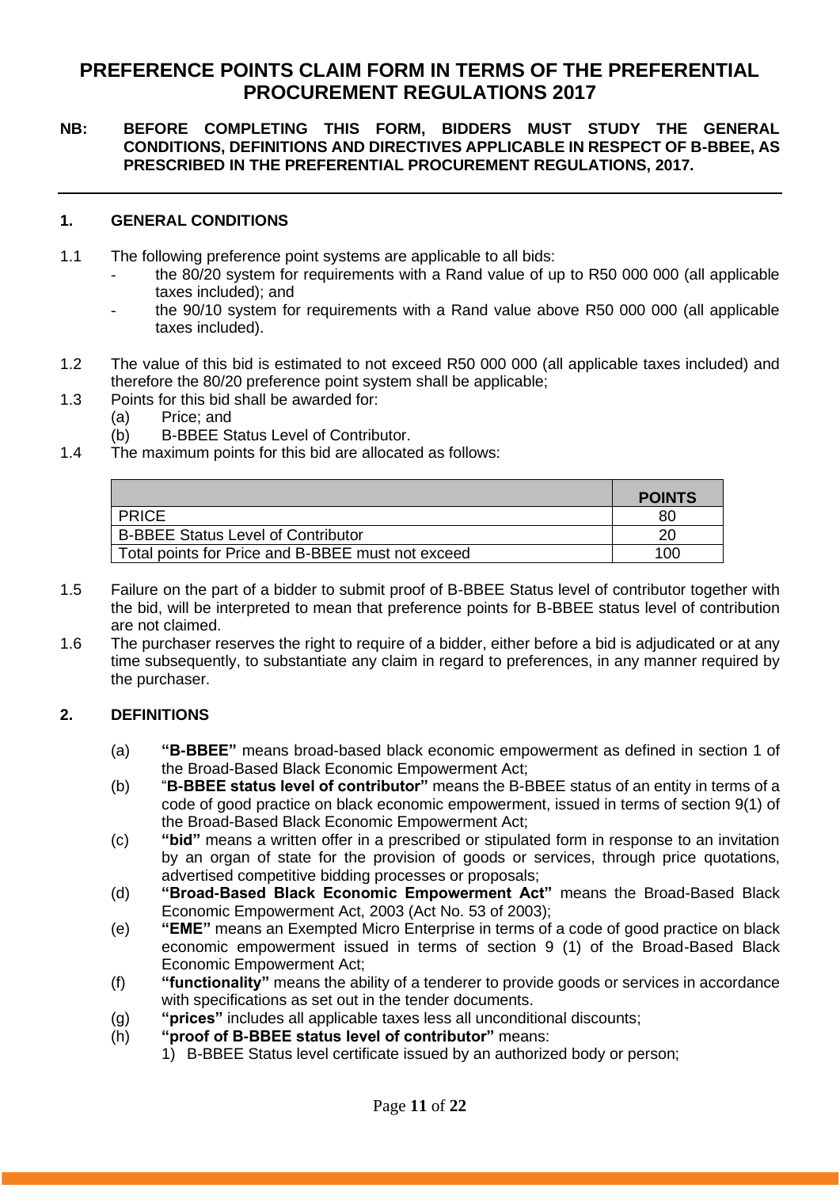# **PREFERENCE POINTS CLAIM FORM IN TERMS OF THE PREFERENTIAL PROCUREMENT REGULATIONS 2017**

# **NB: BEFORE COMPLETING THIS FORM, BIDDERS MUST STUDY THE GENERAL CONDITIONS, DEFINITIONS AND DIRECTIVES APPLICABLE IN RESPECT OF B-BBEE, AS PRESCRIBED IN THE PREFERENTIAL PROCUREMENT REGULATIONS, 2017.**

# **1. GENERAL CONDITIONS**

- 1.1 The following preference point systems are applicable to all bids:
	- the 80/20 system for requirements with a Rand value of up to R50 000 000 (all applicable taxes included); and
	- the 90/10 system for requirements with a Rand value above R50 000 000 (all applicable taxes included).
- 1.2 The value of this bid is estimated to not exceed R50 000 000 (all applicable taxes included) and therefore the 80/20 preference point system shall be applicable;
- 1.3 Points for this bid shall be awarded for:
	- (a) Price; and
	- (b) B-BBEE Status Level of Contributor.
- 1.4 The maximum points for this bid are allocated as follows:

|                                                   | <b>POINTS</b> |
|---------------------------------------------------|---------------|
| <b>PRICE</b>                                      | 80            |
| <b>B-BBEE Status Level of Contributor</b>         | 20            |
| Total points for Price and B-BBEE must not exceed | 100           |

- 1.5 Failure on the part of a bidder to submit proof of B-BBEE Status level of contributor together with the bid, will be interpreted to mean that preference points for B-BBEE status level of contribution are not claimed.
- 1.6 The purchaser reserves the right to require of a bidder, either before a bid is adjudicated or at any time subsequently, to substantiate any claim in regard to preferences, in any manner required by the purchaser.

# **2. DEFINITIONS**

- (a) **"B-BBEE"** means broad-based black economic empowerment as defined in section 1 of the Broad-Based Black Economic Empowerment Act;
- (b) "**B-BBEE status level of contributor"** means the B-BBEE status of an entity in terms of a code of good practice on black economic empowerment, issued in terms of section 9(1) of the Broad-Based Black Economic Empowerment Act;
- (c) **"bid"** means a written offer in a prescribed or stipulated form in response to an invitation by an organ of state for the provision of goods or services, through price quotations, advertised competitive bidding processes or proposals;
- (d) **"Broad-Based Black Economic Empowerment Act"** means the Broad-Based Black Economic Empowerment Act, 2003 (Act No. 53 of 2003);
- (e) **"EME"** means an Exempted Micro Enterprise in terms of a code of good practice on black economic empowerment issued in terms of section 9 (1) of the Broad-Based Black Economic Empowerment Act;
- (f) **"functionality"** means the ability of a tenderer to provide goods or services in accordance with specifications as set out in the tender documents.
- (g) **"prices"** includes all applicable taxes less all unconditional discounts;
- (h) **"proof of B-BBEE status level of contributor"** means:
	- 1) B-BBEE Status level certificate issued by an authorized body or person;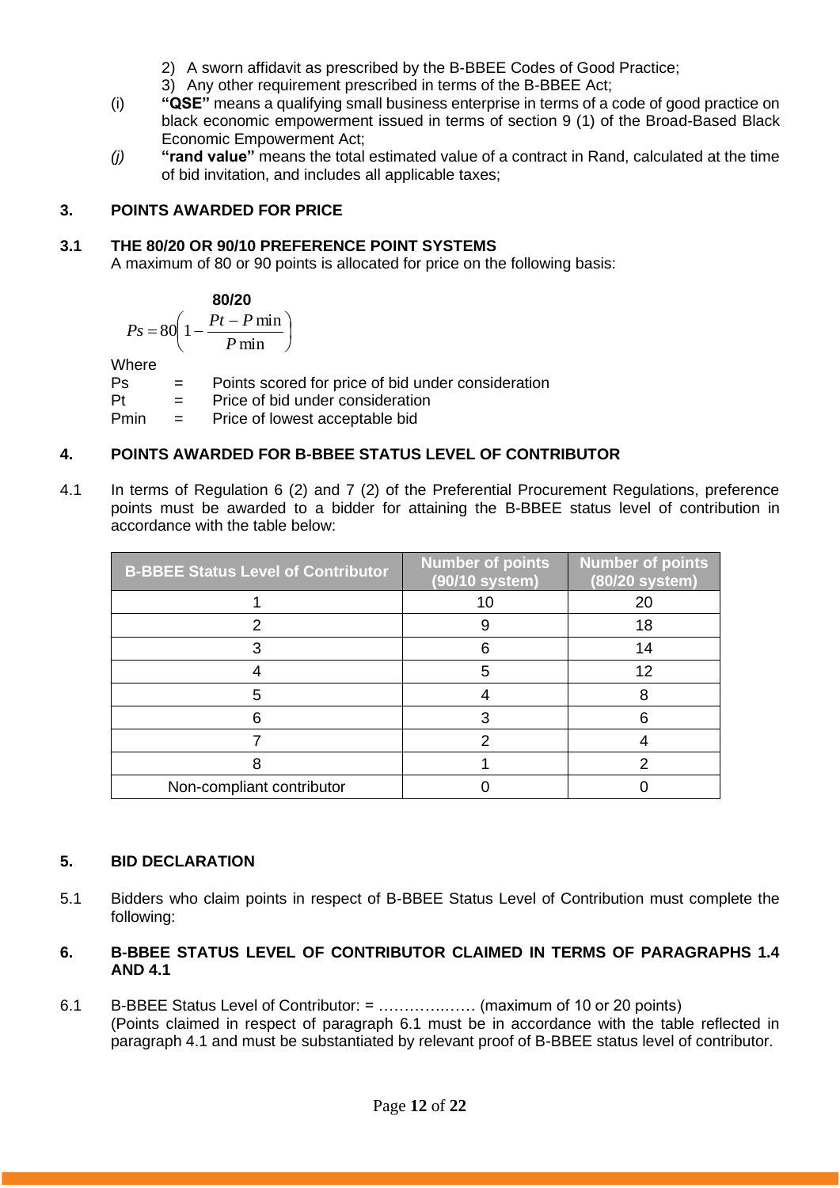- 2) A sworn affidavit as prescribed by the B-BBEE Codes of Good Practice;
- 3) Any other requirement prescribed in terms of the B-BBEE Act;
- (i) **"QSE"** means a qualifying small business enterprise in terms of a code of good practice on black economic empowerment issued in terms of section 9 (1) of the Broad-Based Black Economic Empowerment Act;
- *(j)* **"rand value"** means the total estimated value of a contract in Rand, calculated at the time of bid invitation, and includes all applicable taxes;

# **3. POINTS AWARDED FOR PRICE**

# **3.1 THE 80/20 OR 90/10 PREFERENCE POINT SYSTEMS**

A maximum of 80 or 90 points is allocated for price on the following basis:

$$
\begin{array}{c}\n80/20\n\end{array}
$$

$$
Ps = 80 \left( 1 - \frac{Pt - P \min}{P \min} \right)
$$

Where

Ps = Points scored for price of bid under consideration

Pt = Price of bid under consideration

Pmin = Price of lowest acceptable bid

# **4. POINTS AWARDED FOR B-BBEE STATUS LEVEL OF CONTRIBUTOR**

4.1 In terms of Regulation 6 (2) and 7 (2) of the Preferential Procurement Regulations, preference points must be awarded to a bidder for attaining the B-BBEE status level of contribution in accordance with the table below:

| <b>B-BBEE Status Level of Contributor</b> | <b>Number of points</b><br>(90/10 system) | <b>Number</b> of points<br>(80/20 system) |
|-------------------------------------------|-------------------------------------------|-------------------------------------------|
|                                           | 10                                        | 20                                        |
|                                           |                                           | 18                                        |
|                                           |                                           | 14                                        |
|                                           |                                           | 12                                        |
|                                           |                                           |                                           |
|                                           |                                           |                                           |
|                                           |                                           |                                           |
|                                           |                                           |                                           |
| Non-compliant contributor                 |                                           |                                           |

# **5. BID DECLARATION**

5.1 Bidders who claim points in respect of B-BBEE Status Level of Contribution must complete the following:

# **6. B-BBEE STATUS LEVEL OF CONTRIBUTOR CLAIMED IN TERMS OF PARAGRAPHS 1.4 AND 4.1**

6.1 B-BBEE Status Level of Contributor: = ………….…… (maximum of 10 or 20 points) (Points claimed in respect of paragraph 6.1 must be in accordance with the table reflected in paragraph 4.1 and must be substantiated by relevant proof of B-BBEE status level of contributor.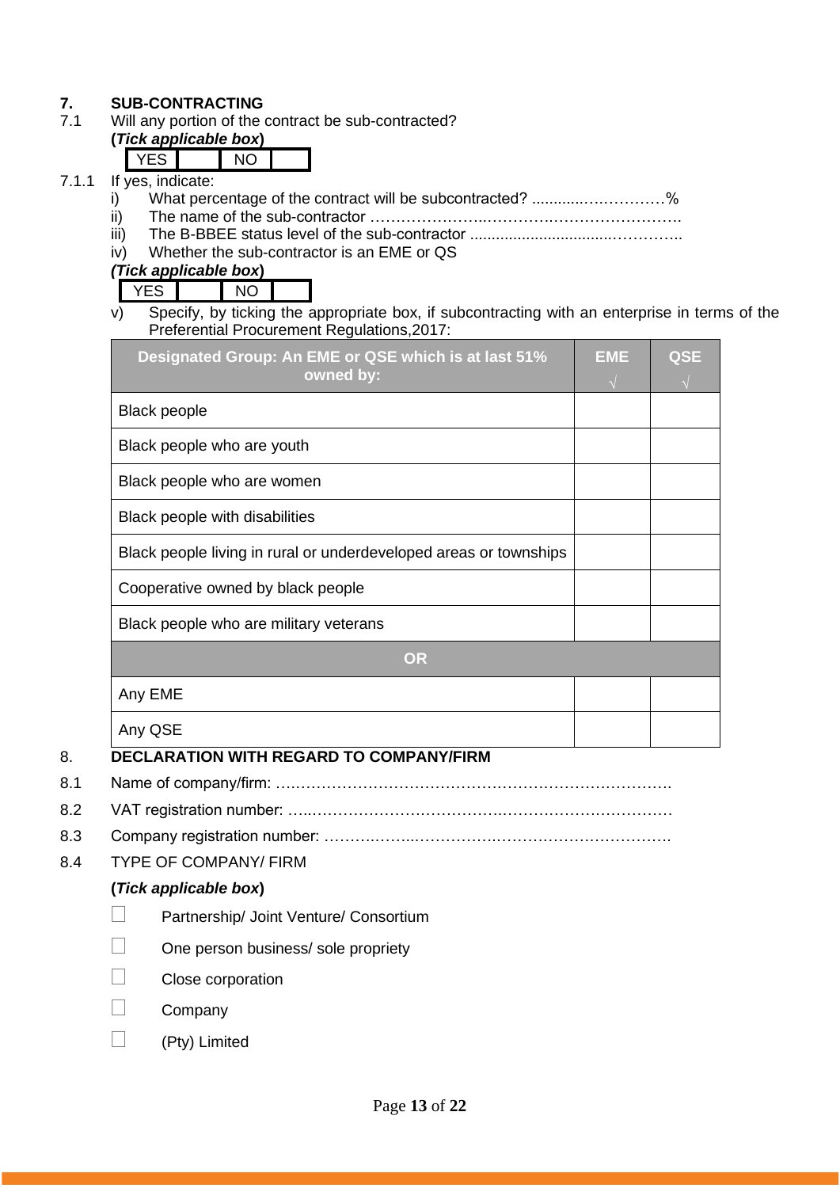# **7. SUB-CONTRACTING**<br>**7.1** Will any portion of the

Will any portion of the contract be sub-contracted?

#### **(***Tick applicable box***)**  $VFC$

|  | If yes, indicate: |  |
|--|-------------------|--|

- 7.1.1 If  $\frac{1}{i}$ i) What percentage of the contract will be subcontracted? ............….…………%
	- ii) The name of the sub-contractor …………………..………….…………………….
	- iii) The B-BBEE status level of the sub-contractor .................................…………..
	- iv) Whether the sub-contractor is an EME or QS

*(Tick applicable box***)**

YES NO

v) Specify, by ticking the appropriate box, if subcontracting with an enterprise in terms of the Preferential Procurement Regulations,2017:

| Designated Group: An EME or QSE which is at last 51%<br>owned by: | <b>EME</b> | <b>QSE</b> |
|-------------------------------------------------------------------|------------|------------|
| <b>Black people</b>                                               |            |            |
| Black people who are youth                                        |            |            |
| Black people who are women                                        |            |            |
| Black people with disabilities                                    |            |            |
| Black people living in rural or underdeveloped areas or townships |            |            |
| Cooperative owned by black people                                 |            |            |
| Black people who are military veterans                            |            |            |
| <b>OR</b>                                                         |            |            |
| Any EME                                                           |            |            |
| Any QSE                                                           |            |            |
| DECLARATION WITH RECARD TO COMPANY/EIRM                           |            |            |

# 8. **DECLARATION WITH REGARD TO COMPANY/FIRM**

- 8.1 Name of company/firm: ….……………………………………………………………….
- 8.2 VAT registration number: …..……………………………….……………………………
- 8.3 Company registration number: ……….……..…………….…………………………….
- 8.4 TYPE OF COMPANY/ FIRM

# **(***Tick applicable box***)**

- Partnership/ Joint Venture/ Consortium
- One person business/ sole propriety
- Close corporation
- Company
- (Pty) Limited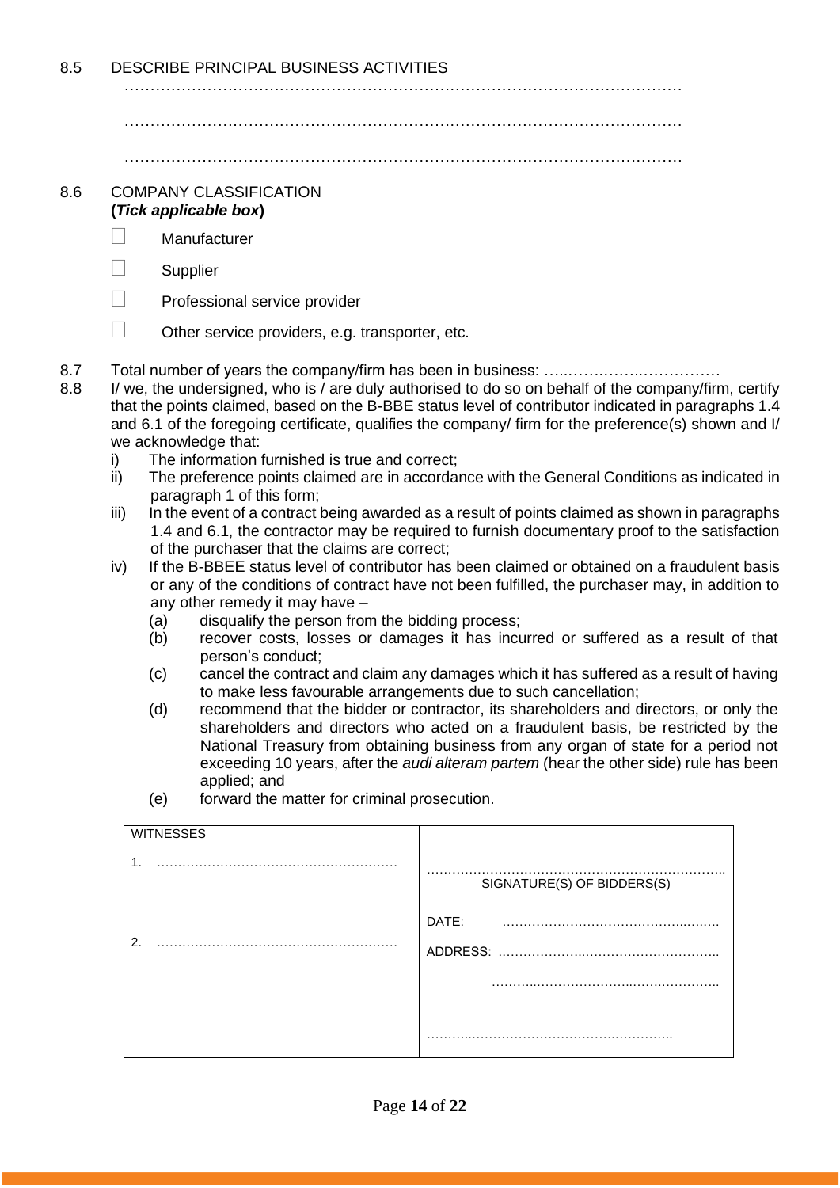8.5 DESCRIBE PRINCIPAL BUSINESS ACTIVITIES

………………………………………………………………………………………………

………………………………………………………………………………………………

………………………………………………………………………………………………

### 8.6 COMPANY CLASSIFICATION **(***Tick applicable box***)**

- Manufacturer
- $\Box$  Supplier
- $\Box$  Professional service provider
- $\Box$  Other service providers, e.g. transporter, etc.
- 8.7 Total number of years the company/firm has been in business: …..…….……..……………
- 8.8 I/ we, the undersigned, who is / are duly authorised to do so on behalf of the company/firm, certify that the points claimed, based on the B-BBE status level of contributor indicated in paragraphs 1.4 and 6.1 of the foregoing certificate, qualifies the company/ firm for the preference(s) shown and I/ we acknowledge that:
	- i) The information furnished is true and correct;
	- ii) The preference points claimed are in accordance with the General Conditions as indicated in paragraph 1 of this form;
	- iii) In the event of a contract being awarded as a result of points claimed as shown in paragraphs 1.4 and 6.1, the contractor may be required to furnish documentary proof to the satisfaction of the purchaser that the claims are correct;
	- iv) If the B-BBEE status level of contributor has been claimed or obtained on a fraudulent basis or any of the conditions of contract have not been fulfilled, the purchaser may, in addition to any other remedy it may have –
		- (a) disqualify the person from the bidding process;
		- (b) recover costs, losses or damages it has incurred or suffered as a result of that person's conduct;
		- (c) cancel the contract and claim any damages which it has suffered as a result of having to make less favourable arrangements due to such cancellation;
		- (d) recommend that the bidder or contractor, its shareholders and directors, or only the shareholders and directors who acted on a fraudulent basis, be restricted by the National Treasury from obtaining business from any organ of state for a period not exceeding 10 years, after the *audi alteram partem* (hear the other side) rule has been applied; and
		- (e) forward the matter for criminal prosecution.

| <b>WITNESSES</b> |                            |
|------------------|----------------------------|
| $\mathbf 1$      | SIGNATURE(S) OF BIDDERS(S) |
|                  | DATE:                      |
| 2.               |                            |
|                  | .                          |
|                  |                            |
|                  |                            |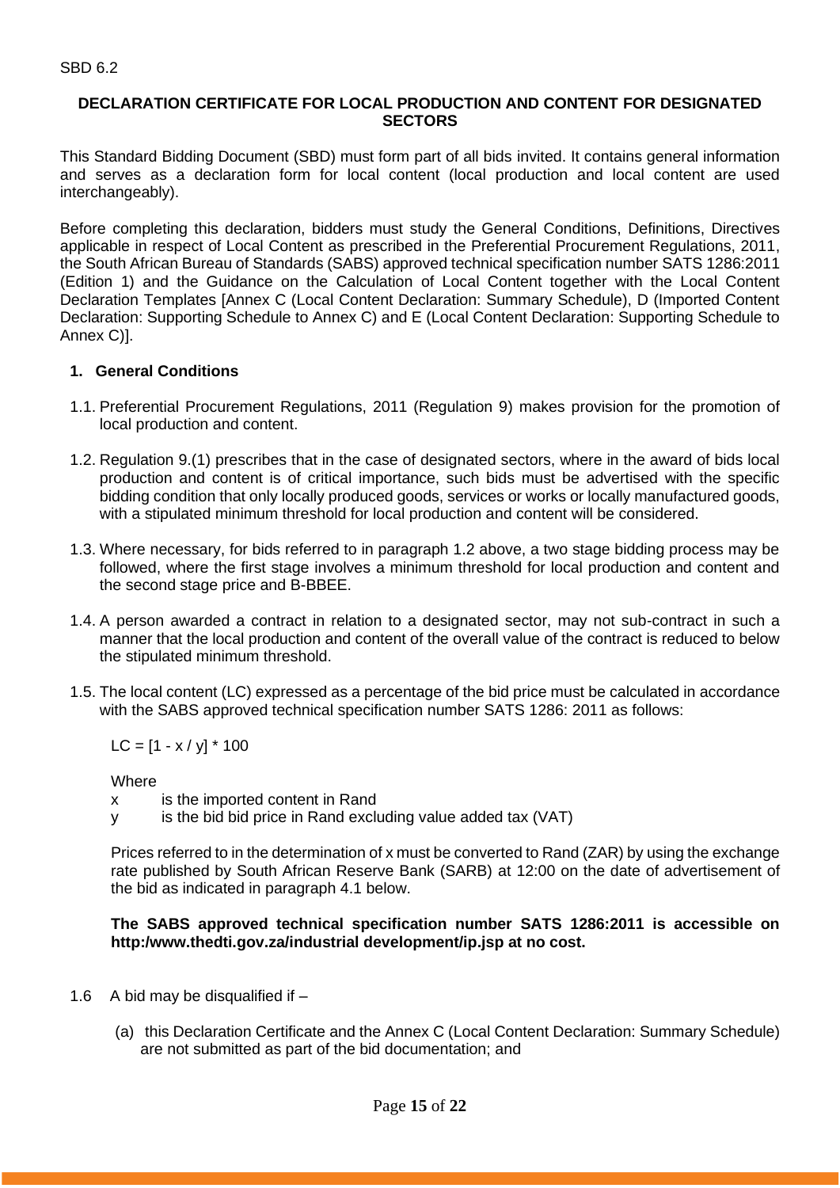### **DECLARATION CERTIFICATE FOR LOCAL PRODUCTION AND CONTENT FOR DESIGNATED SECTORS**

This Standard Bidding Document (SBD) must form part of all bids invited. It contains general information and serves as a declaration form for local content (local production and local content are used interchangeably).

Before completing this declaration, bidders must study the General Conditions, Definitions, Directives applicable in respect of Local Content as prescribed in the Preferential Procurement Regulations, 2011, the South African Bureau of Standards (SABS) approved technical specification number SATS 1286:2011 (Edition 1) and the Guidance on the Calculation of Local Content together with the Local Content Declaration Templates [Annex C (Local Content Declaration: Summary Schedule), D (Imported Content Declaration: Supporting Schedule to Annex C) and E (Local Content Declaration: Supporting Schedule to Annex C)].

# **1. General Conditions**

- 1.1. Preferential Procurement Regulations, 2011 (Regulation 9) makes provision for the promotion of local production and content.
- 1.2. Regulation 9.(1) prescribes that in the case of designated sectors, where in the award of bids local production and content is of critical importance, such bids must be advertised with the specific bidding condition that only locally produced goods, services or works or locally manufactured goods, with a stipulated minimum threshold for local production and content will be considered.
- 1.3. Where necessary, for bids referred to in paragraph 1.2 above, a two stage bidding process may be followed, where the first stage involves a minimum threshold for local production and content and the second stage price and B-BBEE.
- 1.4. A person awarded a contract in relation to a designated sector, may not sub-contract in such a manner that the local production and content of the overall value of the contract is reduced to below the stipulated minimum threshold.
- 1.5. The local content (LC) expressed as a percentage of the bid price must be calculated in accordance with the SABS approved technical specification number SATS 1286: 2011 as follows:

 $LC = [1 - x / y] * 100$ 

**Where** 

- x is the imported content in Rand
- y is the bid bid price in Rand excluding value added tax (VAT)

Prices referred to in the determination of x must be converted to Rand (ZAR) by using the exchange rate published by South African Reserve Bank (SARB) at 12:00 on the date of advertisement of the bid as indicated in paragraph 4.1 below.

### **The SABS approved technical specification number SATS 1286:2011 is accessible on http:/www.thedti.gov.za/industrial development/ip.jsp at no cost.**

- 1.6 A bid may be disqualified if  $-$ 
	- (a) this Declaration Certificate and the Annex C (Local Content Declaration: Summary Schedule) are not submitted as part of the bid documentation; and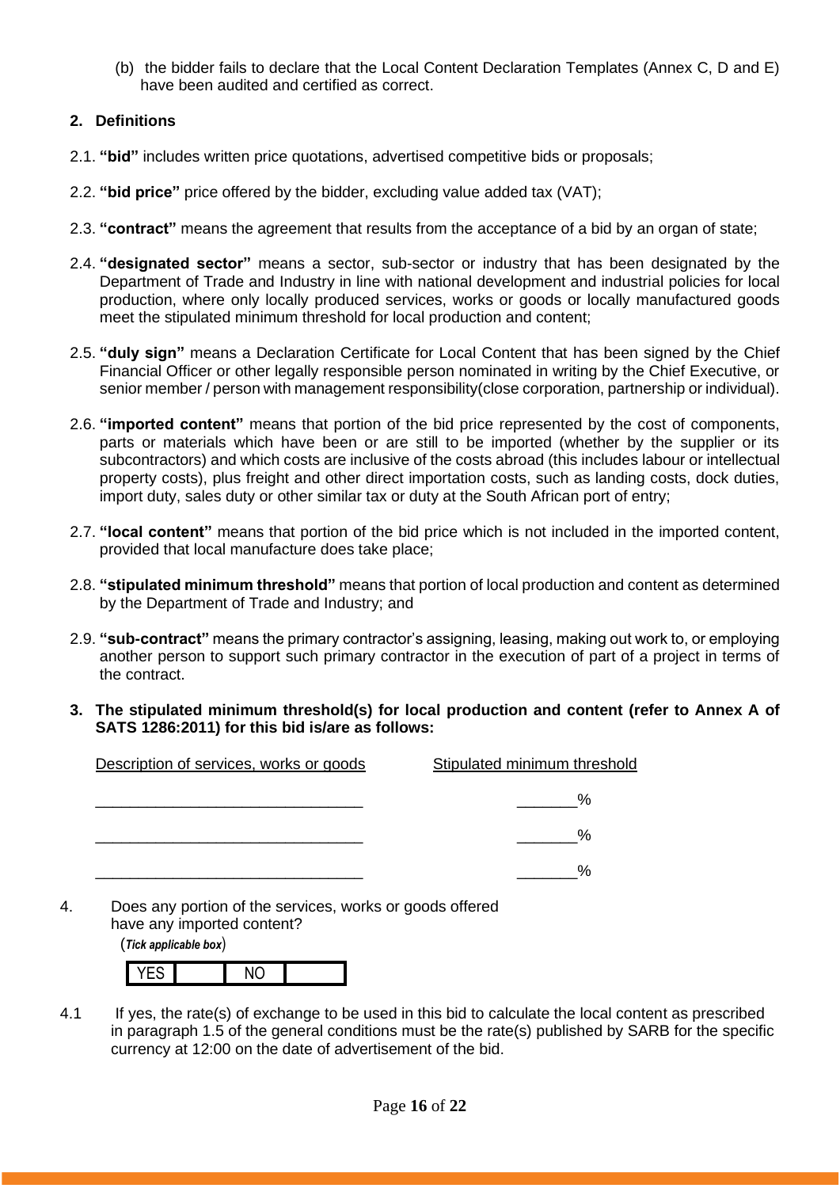(b) the bidder fails to declare that the Local Content Declaration Templates (Annex C, D and E) have been audited and certified as correct.

# **2. Definitions**

- 2.1. **"bid"** includes written price quotations, advertised competitive bids or proposals;
- 2.2. **"bid price"** price offered by the bidder, excluding value added tax (VAT);
- 2.3. **"contract"** means the agreement that results from the acceptance of a bid by an organ of state;
- 2.4. **"designated sector"** means a sector, sub-sector or industry that has been designated by the Department of Trade and Industry in line with national development and industrial policies for local production, where only locally produced services, works or goods or locally manufactured goods meet the stipulated minimum threshold for local production and content;
- 2.5. **"duly sign"** means a Declaration Certificate for Local Content that has been signed by the Chief Financial Officer or other legally responsible person nominated in writing by the Chief Executive, or senior member / person with management responsibility(close corporation, partnership or individual).
- 2.6. **"imported content"** means that portion of the bid price represented by the cost of components, parts or materials which have been or are still to be imported (whether by the supplier or its subcontractors) and which costs are inclusive of the costs abroad (this includes labour or intellectual property costs), plus freight and other direct importation costs, such as landing costs, dock duties, import duty, sales duty or other similar tax or duty at the South African port of entry;
- 2.7. **"local content"** means that portion of the bid price which is not included in the imported content, provided that local manufacture does take place;
- 2.8. **"stipulated minimum threshold"** means that portion of local production and content as determined by the Department of Trade and Industry; and
- 2.9. **"sub-contract"** means the primary contractor's assigning, leasing, making out work to, or employing another person to support such primary contractor in the execution of part of a project in terms of the contract.
- **3. The stipulated minimum threshold(s) for local production and content (refer to Annex A of SATS 1286:2011) for this bid is/are as follows:**

| Description of services, works or goods | Stipulated minimum threshold |
|-----------------------------------------|------------------------------|
|                                         | $\%$                         |
|                                         | %                            |
|                                         | %                            |

4. Does any portion of the services, works or goods offered have any imported content?

(*Tick applicable box*)

4.1 If yes, the rate(s) of exchange to be used in this bid to calculate the local content as prescribed in paragraph 1.5 of the general conditions must be the rate(s) published by SARB for the specific currency at 12:00 on the date of advertisement of the bid.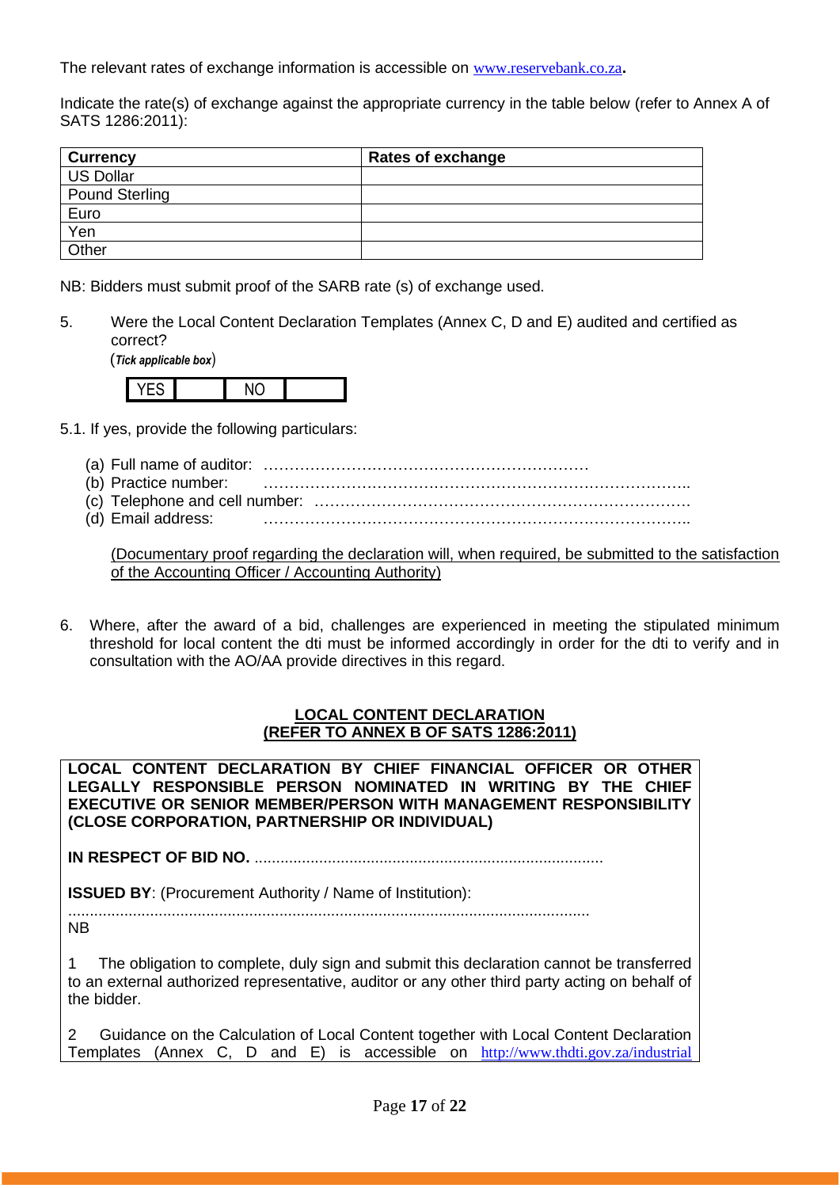The relevant rates of exchange information is accessible on [www.reservebank.co.za](http://www.reservebank.co.za/)**.**

Indicate the rate(s) of exchange against the appropriate currency in the table below (refer to Annex A of SATS 1286:2011):

| <b>Currency</b>       | <b>Rates of exchange</b> |
|-----------------------|--------------------------|
| <b>US Dollar</b>      |                          |
| <b>Pound Sterling</b> |                          |
| Euro                  |                          |
| Yen                   |                          |
| Other                 |                          |

NB: Bidders must submit proof of the SARB rate (s) of exchange used.

5. Were the Local Content Declaration Templates (Annex C, D and E) audited and certified as correct?

(*Tick applicable box*)



- 5.1. If yes, provide the following particulars:
	- (a) Full name of auditor: ………………………………………………………
	- (b) Practice number: ………………………………………………………………………..
	- (c) Telephone and cell number: ……………………………………………………………….
	- (d) Email address: ………………………………………………………………………..

(Documentary proof regarding the declaration will, when required, be submitted to the satisfaction of the Accounting Officer / Accounting Authority)

6. Where, after the award of a bid, challenges are experienced in meeting the stipulated minimum threshold for local content the dti must be informed accordingly in order for the dti to verify and in consultation with the AO/AA provide directives in this regard.

### **LOCAL CONTENT DECLARATION (REFER TO ANNEX B OF SATS 1286:2011)**

**LOCAL CONTENT DECLARATION BY CHIEF FINANCIAL OFFICER OR OTHER LEGALLY RESPONSIBLE PERSON NOMINATED IN WRITING BY THE CHIEF EXECUTIVE OR SENIOR MEMBER/PERSON WITH MANAGEMENT RESPONSIBILITY (CLOSE CORPORATION, PARTNERSHIP OR INDIVIDUAL)** 

**IN RESPECT OF BID NO.** .................................................................................

**ISSUED BY:** (Procurement Authority / Name of Institution):

......................................................................................................................... NB

1 The obligation to complete, duly sign and submit this declaration cannot be transferred to an external authorized representative, auditor or any other third party acting on behalf of the bidder.

2 Guidance on the Calculation of Local Content together with Local Content Declaration Templates (Annex C, D and E) is accessible on [http://www.thdti.gov.za/industrial](http://www.thdti.gov.za/industrial%20development/ip.jsp)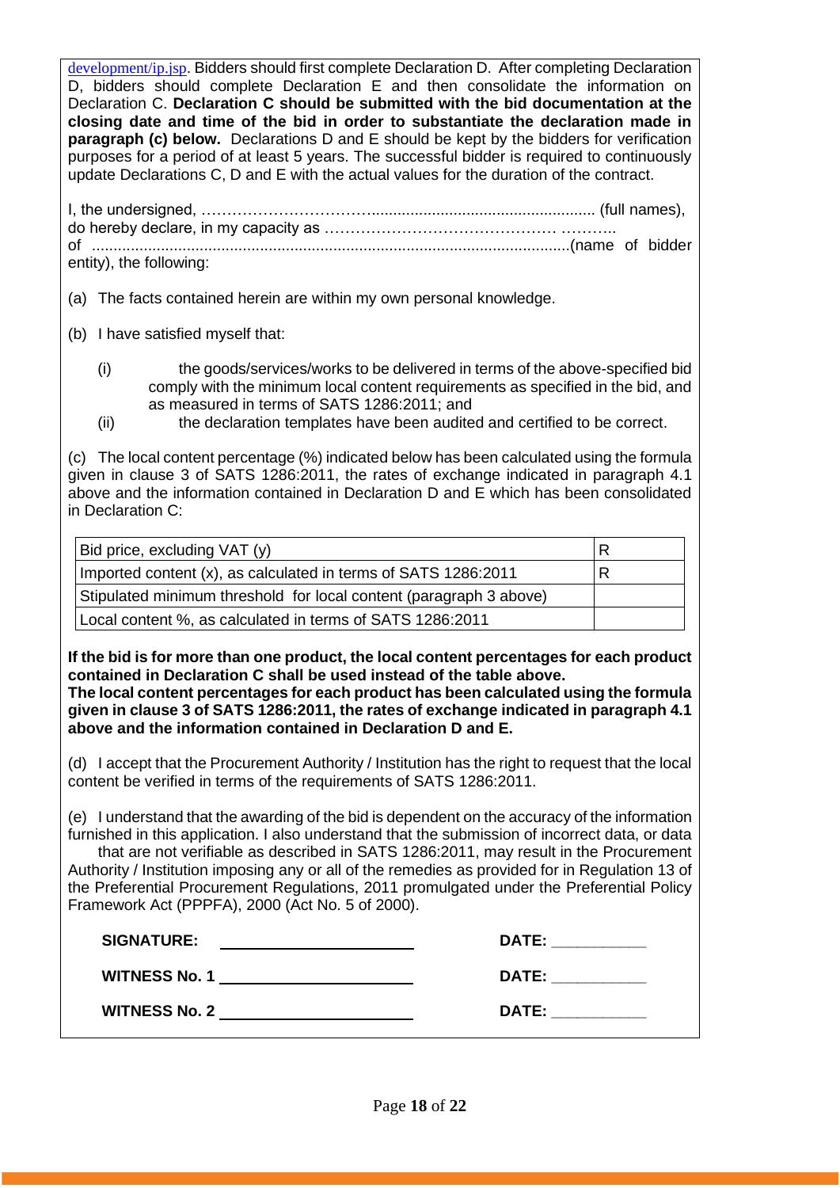[development/ip.jsp](http://www.thdti.gov.za/industrial%20development/ip.jsp). Bidders should first complete Declaration D. After completing Declaration D, bidders should complete Declaration E and then consolidate the information on Declaration C. **Declaration C should be submitted with the bid documentation at the closing date and time of the bid in order to substantiate the declaration made in paragraph (c) below.** Declarations D and E should be kept by the bidders for verification purposes for a period of at least 5 years. The successful bidder is required to continuously update Declarations C, D and E with the actual values for the duration of the contract.

| entity), the following: |  |
|-------------------------|--|

(a) The facts contained herein are within my own personal knowledge.

- (b) I have satisfied myself that:
	- (i) the goods/services/works to be delivered in terms of the above-specified bid comply with the minimum local content requirements as specified in the bid, and as measured in terms of SATS 1286:2011; and
	- (ii) the declaration templates have been audited and certified to be correct.

(c) The local content percentage (%) indicated below has been calculated using the formula given in clause 3 of SATS 1286:2011, the rates of exchange indicated in paragraph 4.1 above and the information contained in Declaration D and E which has been consolidated in Declaration C:

| Bid price, excluding VAT (y)                                       | R |
|--------------------------------------------------------------------|---|
| Imported content (x), as calculated in terms of SATS 1286:2011     | R |
| Stipulated minimum threshold for local content (paragraph 3 above) |   |
| Local content %, as calculated in terms of SATS 1286:2011          |   |

**If the bid is for more than one product, the local content percentages for each product contained in Declaration C shall be used instead of the table above.** 

**The local content percentages for each product has been calculated using the formula given in clause 3 of SATS 1286:2011, the rates of exchange indicated in paragraph 4.1 above and the information contained in Declaration D and E.**

(d) I accept that the Procurement Authority / Institution has the right to request that the local content be verified in terms of the requirements of SATS 1286:2011.

(e) I understand that the awarding of the bid is dependent on the accuracy of the information furnished in this application. I also understand that the submission of incorrect data, or data that are not verifiable as described in SATS 1286:2011, may result in the Procurement Authority / Institution imposing any or all of the remedies as provided for in Regulation 13 of the Preferential Procurement Regulations, 2011 promulgated under the Preferential Policy Framework Act (PPPFA), 2000 (Act No. 5 of 2000).

| <b>SIGNATURE:</b>    | <b>DATE:</b> |
|----------------------|--------------|
| <b>WITNESS No. 1</b> | <b>DATE:</b> |
| <b>WITNESS No. 2</b> | <b>DATE:</b> |